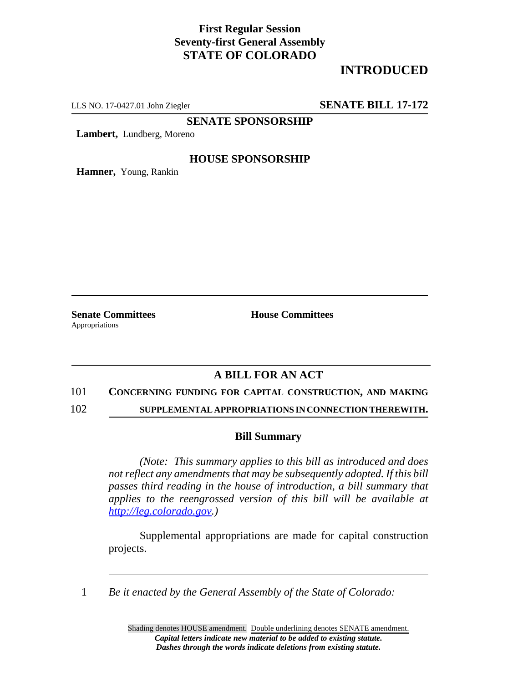## **First Regular Session Seventy-first General Assembly STATE OF COLORADO**

# **INTRODUCED**

LLS NO. 17-0427.01 John Ziegler **SENATE BILL 17-172**

**SENATE SPONSORSHIP**

**Lambert,** Lundberg, Moreno

## **HOUSE SPONSORSHIP**

**Hamner,** Young, Rankin

Appropriations

**Senate Committees House Committees** 

## **A BILL FOR AN ACT**

#### 101 **CONCERNING FUNDING FOR CAPITAL CONSTRUCTION, AND MAKING**

102 **SUPPLEMENTAL APPROPRIATIONS IN CONNECTION THEREWITH.**

### **Bill Summary**

*(Note: This summary applies to this bill as introduced and does not reflect any amendments that may be subsequently adopted. If this bill passes third reading in the house of introduction, a bill summary that applies to the reengrossed version of this bill will be available at http://leg.colorado.gov.)*

Supplemental appropriations are made for capital construction projects.

1 *Be it enacted by the General Assembly of the State of Colorado:*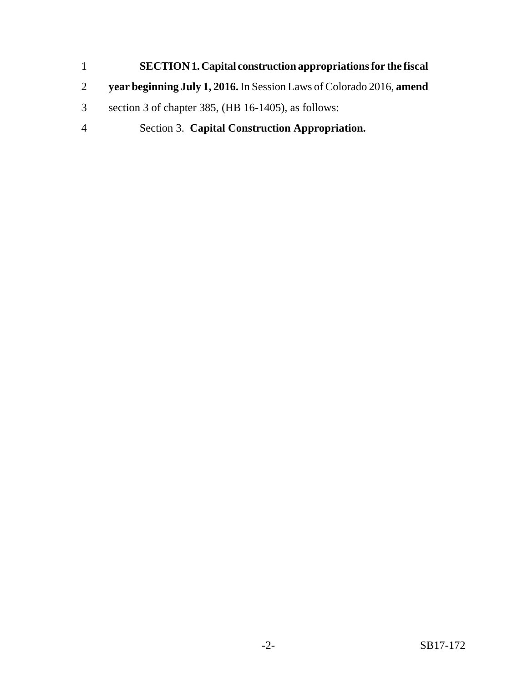- **SECTION 1.Capital construction appropriations for the fiscal**
- **year beginning July 1, 2016.** In Session Laws of Colorado 2016, **amend**
- section 3 of chapter 385, (HB 16-1405), as follows:
- Section 3. **Capital Construction Appropriation.**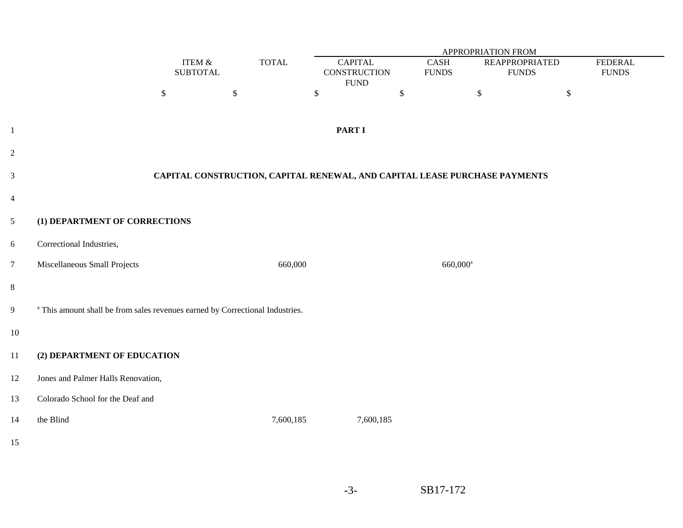|                | <b>APPROPRIATION FROM</b>                                                                |                              |              |                                       |                       |                                                                            |                                |  |
|----------------|------------------------------------------------------------------------------------------|------------------------------|--------------|---------------------------------------|-----------------------|----------------------------------------------------------------------------|--------------------------------|--|
|                |                                                                                          | ITEM $\&$<br><b>SUBTOTAL</b> | <b>TOTAL</b> | <b>CAPITAL</b><br><b>CONSTRUCTION</b> | CASH<br>${\rm FUNDS}$ | <b>REAPPROPRIATED</b><br><b>FUNDS</b>                                      | <b>FEDERAL</b><br><b>FUNDS</b> |  |
|                |                                                                                          | $\mathbb{S}$                 | $\mathbb{S}$ | ${\rm FUND}$<br>$\$$                  | $\$$                  | $\mathbb{S}$                                                               | $\boldsymbol{\$}$              |  |
| $\,1$          |                                                                                          |                              |              | <b>PART I</b>                         |                       |                                                                            |                                |  |
| $\overline{c}$ |                                                                                          |                              |              |                                       |                       |                                                                            |                                |  |
| $\mathfrak{Z}$ |                                                                                          |                              |              |                                       |                       | CAPITAL CONSTRUCTION, CAPITAL RENEWAL, AND CAPITAL LEASE PURCHASE PAYMENTS |                                |  |
| $\overline{4}$ |                                                                                          |                              |              |                                       |                       |                                                                            |                                |  |
| 5              | (1) DEPARTMENT OF CORRECTIONS                                                            |                              |              |                                       |                       |                                                                            |                                |  |
| 6              | Correctional Industries,                                                                 |                              |              |                                       |                       |                                                                            |                                |  |
| $\overline{7}$ | Miscellaneous Small Projects                                                             |                              | 660,000      |                                       |                       | 660,000 <sup>a</sup>                                                       |                                |  |
| $8\,$          |                                                                                          |                              |              |                                       |                       |                                                                            |                                |  |
| 9              | <sup>a</sup> This amount shall be from sales revenues earned by Correctional Industries. |                              |              |                                       |                       |                                                                            |                                |  |
| $10\,$         |                                                                                          |                              |              |                                       |                       |                                                                            |                                |  |
| $11\,$         | (2) DEPARTMENT OF EDUCATION                                                              |                              |              |                                       |                       |                                                                            |                                |  |
| $12\,$         | Jones and Palmer Halls Renovation,                                                       |                              |              |                                       |                       |                                                                            |                                |  |
| 13             | Colorado School for the Deaf and                                                         |                              |              |                                       |                       |                                                                            |                                |  |
| $14\,$         | the Blind                                                                                |                              | 7,600,185    | 7,600,185                             |                       |                                                                            |                                |  |
| 15             |                                                                                          |                              |              |                                       |                       |                                                                            |                                |  |

-3-SB17-172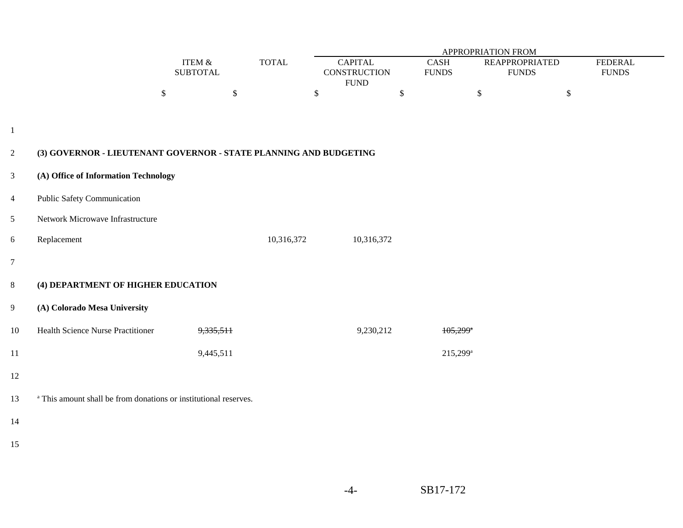|                  |                                                                             |                              |              |                                                       | APPROPRIATION FROM     |                                       |                                |  |  |  |  |
|------------------|-----------------------------------------------------------------------------|------------------------------|--------------|-------------------------------------------------------|------------------------|---------------------------------------|--------------------------------|--|--|--|--|
|                  |                                                                             | ITEM $\&$<br><b>SUBTOTAL</b> | <b>TOTAL</b> | <b>CAPITAL</b><br><b>CONSTRUCTION</b><br>${\rm FUND}$ |                        | <b>REAPPROPRIATED</b><br><b>FUNDS</b> | <b>FEDERAL</b><br><b>FUNDS</b> |  |  |  |  |
|                  |                                                                             | $\mathbb{S}$                 | $\mathbb{S}$ | $\$\,$                                                | \$                     | \$                                    | $\mathbb{S}$                   |  |  |  |  |
|                  |                                                                             |                              |              |                                                       |                        |                                       |                                |  |  |  |  |
| $\mathbf{1}$     |                                                                             |                              |              |                                                       |                        |                                       |                                |  |  |  |  |
| $\overline{2}$   | (3) GOVERNOR - LIEUTENANT GOVERNOR - STATE PLANNING AND BUDGETING           |                              |              |                                                       |                        |                                       |                                |  |  |  |  |
| $\mathfrak{Z}$   | (A) Office of Information Technology                                        |                              |              |                                                       |                        |                                       |                                |  |  |  |  |
| $\overline{4}$   | Public Safety Communication                                                 |                              |              |                                                       |                        |                                       |                                |  |  |  |  |
| 5                | Network Microwave Infrastructure                                            |                              |              |                                                       |                        |                                       |                                |  |  |  |  |
| $\boldsymbol{6}$ | Replacement                                                                 |                              | 10,316,372   | 10,316,372                                            |                        |                                       |                                |  |  |  |  |
| $\overline{7}$   |                                                                             |                              |              |                                                       |                        |                                       |                                |  |  |  |  |
| $8\,$            | (4) DEPARTMENT OF HIGHER EDUCATION                                          |                              |              |                                                       |                        |                                       |                                |  |  |  |  |
| 9                | (A) Colorado Mesa University                                                |                              |              |                                                       |                        |                                       |                                |  |  |  |  |
| $10\,$           | Health Science Nurse Practitioner                                           | 9,335,511                    |              | 9,230,212                                             | $105,299$ <sup>*</sup> |                                       |                                |  |  |  |  |
| 11               |                                                                             | 9,445,511                    |              |                                                       | 215,299 <sup>a</sup>   |                                       |                                |  |  |  |  |
| 12               |                                                                             |                              |              |                                                       |                        |                                       |                                |  |  |  |  |
| 13               | <sup>a</sup> This amount shall be from donations or institutional reserves. |                              |              |                                                       |                        |                                       |                                |  |  |  |  |
| 14               |                                                                             |                              |              |                                                       |                        |                                       |                                |  |  |  |  |
| 15               |                                                                             |                              |              |                                                       |                        |                                       |                                |  |  |  |  |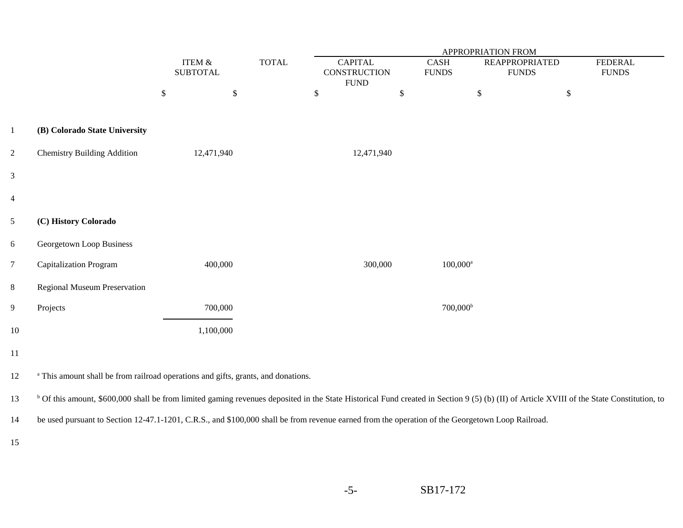|                 |                                                                                                                                                                                                      |                           |                              |              | <b>APPROPRIATION FROM</b>             |      |                                       |                                       |                                |  |  |
|-----------------|------------------------------------------------------------------------------------------------------------------------------------------------------------------------------------------------------|---------------------------|------------------------------|--------------|---------------------------------------|------|---------------------------------------|---------------------------------------|--------------------------------|--|--|
|                 |                                                                                                                                                                                                      |                           | ITEM $\&$<br><b>SUBTOTAL</b> | <b>TOTAL</b> | <b>CAPITAL</b><br><b>CONSTRUCTION</b> |      | $\operatorname{CASH}$<br><b>FUNDS</b> | <b>REAPPROPRIATED</b><br><b>FUNDS</b> | <b>FEDERAL</b><br><b>FUNDS</b> |  |  |
|                 |                                                                                                                                                                                                      | $\boldsymbol{\mathsf{S}}$ | $\$$                         |              | <b>FUND</b><br>$\$$                   | $\,$ | $\mathbb{S}$                          |                                       | $\mathbb{S}$                   |  |  |
|                 |                                                                                                                                                                                                      |                           |                              |              |                                       |      |                                       |                                       |                                |  |  |
| $\mathbf{1}$    | (B) Colorado State University                                                                                                                                                                        |                           |                              |              |                                       |      |                                       |                                       |                                |  |  |
| $\overline{2}$  | <b>Chemistry Building Addition</b>                                                                                                                                                                   |                           | 12,471,940                   |              | 12,471,940                            |      |                                       |                                       |                                |  |  |
| $\mathfrak{Z}$  |                                                                                                                                                                                                      |                           |                              |              |                                       |      |                                       |                                       |                                |  |  |
| $\overline{4}$  |                                                                                                                                                                                                      |                           |                              |              |                                       |      |                                       |                                       |                                |  |  |
| 5               | (C) History Colorado                                                                                                                                                                                 |                           |                              |              |                                       |      |                                       |                                       |                                |  |  |
| $6\,$           | Georgetown Loop Business                                                                                                                                                                             |                           |                              |              |                                       |      |                                       |                                       |                                |  |  |
| $7\phantom{.0}$ | <b>Capitalization Program</b>                                                                                                                                                                        |                           | 400,000                      |              | 300,000                               |      | $100,000$ <sup>a</sup>                |                                       |                                |  |  |
| $8\,$           | Regional Museum Preservation                                                                                                                                                                         |                           |                              |              |                                       |      |                                       |                                       |                                |  |  |
| 9               | Projects                                                                                                                                                                                             |                           | 700,000                      |              |                                       |      | $700,000^{\rm b}$                     |                                       |                                |  |  |
| 10              |                                                                                                                                                                                                      |                           | 1,100,000                    |              |                                       |      |                                       |                                       |                                |  |  |
| 11              |                                                                                                                                                                                                      |                           |                              |              |                                       |      |                                       |                                       |                                |  |  |
| 12              | <sup>a</sup> This amount shall be from railroad operations and gifts, grants, and donations.                                                                                                         |                           |                              |              |                                       |      |                                       |                                       |                                |  |  |
| 13              | <sup>b</sup> Of this amount, \$600,000 shall be from limited gaming revenues deposited in the State Historical Fund created in Section 9 (5) (b) (II) of Article XVIII of the State Constitution, to |                           |                              |              |                                       |      |                                       |                                       |                                |  |  |
| 14              | be used pursuant to Section 12-47.1-1201, C.R.S., and \$100,000 shall be from revenue earned from the operation of the Georgetown Loop Railroad.                                                     |                           |                              |              |                                       |      |                                       |                                       |                                |  |  |
| 15              |                                                                                                                                                                                                      |                           |                              |              |                                       |      |                                       |                                       |                                |  |  |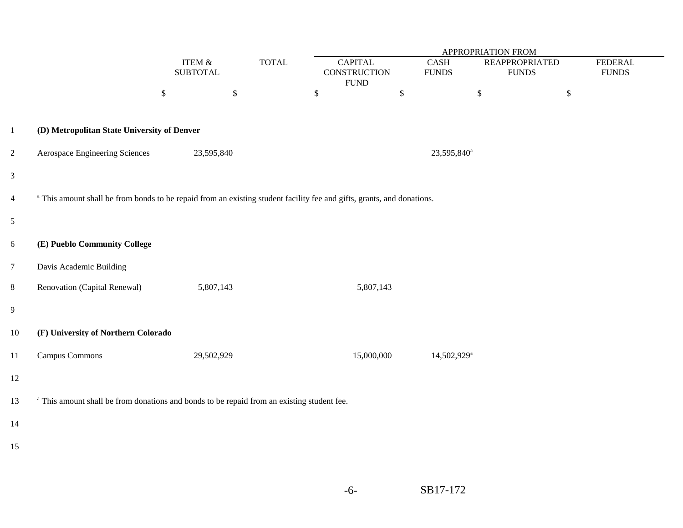|                |                                                                                                                                   |                                   |              | <b>APPROPRIATION FROM</b>                      |                             |                                       |        |                                |  |  |
|----------------|-----------------------------------------------------------------------------------------------------------------------------------|-----------------------------------|--------------|------------------------------------------------|-----------------------------|---------------------------------------|--------|--------------------------------|--|--|
|                |                                                                                                                                   | ITEM $\&$<br><b>SUBTOTAL</b>      | <b>TOTAL</b> | <b>CAPITAL</b><br>CONSTRUCTION<br>${\rm FUND}$ | <b>CASH</b><br><b>FUNDS</b> | <b>REAPPROPRIATED</b><br><b>FUNDS</b> |        | <b>FEDERAL</b><br><b>FUNDS</b> |  |  |
|                |                                                                                                                                   | $\boldsymbol{\$}$<br>$\mathbb{S}$ |              | $\$\,$                                         | $\$$                        | $\mathbb{S}$                          | $\$\,$ |                                |  |  |
| $\mathbf{1}$   | (D) Metropolitan State University of Denver                                                                                       |                                   |              |                                                |                             |                                       |        |                                |  |  |
| $\overline{c}$ | Aerospace Engineering Sciences                                                                                                    | 23,595,840                        |              |                                                |                             | 23,595,840 <sup>a</sup>               |        |                                |  |  |
| $\mathfrak{Z}$ |                                                                                                                                   |                                   |              |                                                |                             |                                       |        |                                |  |  |
| $\overline{4}$ | <sup>a</sup> This amount shall be from bonds to be repaid from an existing student facility fee and gifts, grants, and donations. |                                   |              |                                                |                             |                                       |        |                                |  |  |
| $\mathfrak{S}$ |                                                                                                                                   |                                   |              |                                                |                             |                                       |        |                                |  |  |
| 6              | (E) Pueblo Community College                                                                                                      |                                   |              |                                                |                             |                                       |        |                                |  |  |
| $\overline{7}$ | Davis Academic Building                                                                                                           |                                   |              |                                                |                             |                                       |        |                                |  |  |
| 8              | Renovation (Capital Renewal)                                                                                                      | 5,807,143                         |              | 5,807,143                                      |                             |                                       |        |                                |  |  |
| 9              |                                                                                                                                   |                                   |              |                                                |                             |                                       |        |                                |  |  |
| $10\,$         | (F) University of Northern Colorado                                                                                               |                                   |              |                                                |                             |                                       |        |                                |  |  |
| 11             | Campus Commons                                                                                                                    | 29,502,929                        |              | 15,000,000                                     |                             | 14,502,929 <sup>a</sup>               |        |                                |  |  |
| 12             |                                                                                                                                   |                                   |              |                                                |                             |                                       |        |                                |  |  |
| 13             | <sup>a</sup> This amount shall be from donations and bonds to be repaid from an existing student fee.                             |                                   |              |                                                |                             |                                       |        |                                |  |  |
| 14             |                                                                                                                                   |                                   |              |                                                |                             |                                       |        |                                |  |  |
| 15             |                                                                                                                                   |                                   |              |                                                |                             |                                       |        |                                |  |  |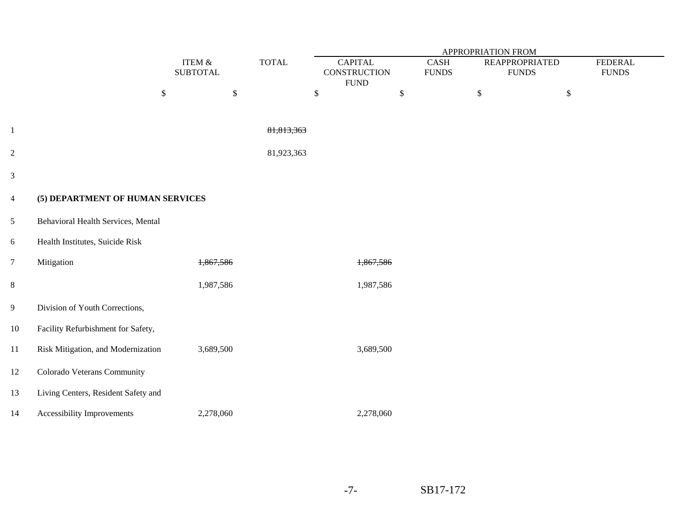|                |                                     |                           |              | APPROPRIATION FROM                                    |                             |                                       |                                |  |  |
|----------------|-------------------------------------|---------------------------|--------------|-------------------------------------------------------|-----------------------------|---------------------------------------|--------------------------------|--|--|
|                |                                     | ITEM &<br><b>SUBTOTAL</b> | <b>TOTAL</b> | <b>CAPITAL</b><br><b>CONSTRUCTION</b><br>${\rm FUND}$ | <b>CASH</b><br><b>FUNDS</b> | <b>REAPPROPRIATED</b><br><b>FUNDS</b> | <b>FEDERAL</b><br><b>FUNDS</b> |  |  |
|                |                                     | $\$$<br>$\mathbb{S}$      |              | $\mathbb{S}$                                          | $\$\,$                      | $\mathbb{S}$                          | $\$$                           |  |  |
| $\mathbf{1}$   |                                     |                           | 81,813,363   |                                                       |                             |                                       |                                |  |  |
| $\overline{2}$ |                                     |                           | 81,923,363   |                                                       |                             |                                       |                                |  |  |
| $\mathfrak{Z}$ |                                     |                           |              |                                                       |                             |                                       |                                |  |  |
| $\overline{4}$ | (5) DEPARTMENT OF HUMAN SERVICES    |                           |              |                                                       |                             |                                       |                                |  |  |
| $\mathfrak{S}$ | Behavioral Health Services, Mental  |                           |              |                                                       |                             |                                       |                                |  |  |
| 6              | Health Institutes, Suicide Risk     |                           |              |                                                       |                             |                                       |                                |  |  |
| $\overline{7}$ | Mitigation                          | 1,867,586                 |              | 1,867,586                                             |                             |                                       |                                |  |  |
| $8\,$          |                                     | 1,987,586                 |              | 1,987,586                                             |                             |                                       |                                |  |  |
| 9              | Division of Youth Corrections,      |                           |              |                                                       |                             |                                       |                                |  |  |
| 10             | Facility Refurbishment for Safety,  |                           |              |                                                       |                             |                                       |                                |  |  |
| 11             | Risk Mitigation, and Modernization  | 3,689,500                 |              | 3,689,500                                             |                             |                                       |                                |  |  |
| 12             | Colorado Veterans Community         |                           |              |                                                       |                             |                                       |                                |  |  |
| 13             | Living Centers, Resident Safety and |                           |              |                                                       |                             |                                       |                                |  |  |
| 14             | Accessibility Improvements          | 2,278,060                 |              | 2,278,060                                             |                             |                                       |                                |  |  |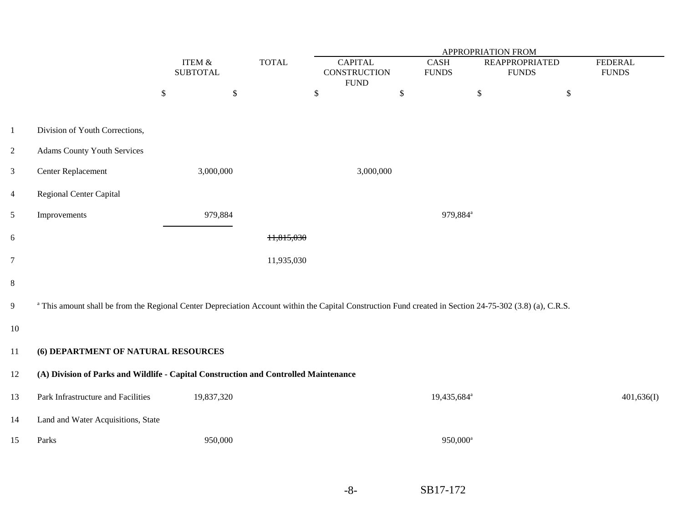|                |                                                                                                                                                                     | ITEM $\&$<br><b>SUBTOTAL</b> | <b>TOTAL</b> | <b>CAPITAL</b><br><b>CONSTRUCTION</b><br><b>FUND</b> | CASH<br><b>FUNDS</b>    | <b>REAPPROPRIATED</b><br><b>FUNDS</b> | <b>FEDERAL</b><br><b>FUNDS</b> |  |  |  |
|----------------|---------------------------------------------------------------------------------------------------------------------------------------------------------------------|------------------------------|--------------|------------------------------------------------------|-------------------------|---------------------------------------|--------------------------------|--|--|--|
|                |                                                                                                                                                                     | $\$$<br>$\mathbb{S}$         |              | $\mathbb{S}$                                         | $\mathbb{S}$            | $\$\,$<br>$\mathbb{S}$                |                                |  |  |  |
| $\mathbf{1}$   | Division of Youth Corrections,                                                                                                                                      |                              |              |                                                      |                         |                                       |                                |  |  |  |
| $\overline{2}$ | <b>Adams County Youth Services</b>                                                                                                                                  |                              |              |                                                      |                         |                                       |                                |  |  |  |
| $\mathfrak{Z}$ | Center Replacement                                                                                                                                                  | 3,000,000                    |              | 3,000,000                                            |                         |                                       |                                |  |  |  |
| $\overline{4}$ | <b>Regional Center Capital</b>                                                                                                                                      |                              |              |                                                      |                         |                                       |                                |  |  |  |
| 5              | Improvements                                                                                                                                                        | 979,884                      |              | 979,884 <sup>a</sup>                                 |                         |                                       |                                |  |  |  |
| 6              |                                                                                                                                                                     |                              | 11,815,030   |                                                      |                         |                                       |                                |  |  |  |
| $\overline{7}$ | 11,935,030                                                                                                                                                          |                              |              |                                                      |                         |                                       |                                |  |  |  |
| $\,8\,$        |                                                                                                                                                                     |                              |              |                                                      |                         |                                       |                                |  |  |  |
| $\overline{9}$ | <sup>a</sup> This amount shall be from the Regional Center Depreciation Account within the Capital Construction Fund created in Section 24-75-302 (3.8) (a), C.R.S. |                              |              |                                                      |                         |                                       |                                |  |  |  |
| 10             |                                                                                                                                                                     |                              |              |                                                      |                         |                                       |                                |  |  |  |
| 11             | (6) DEPARTMENT OF NATURAL RESOURCES                                                                                                                                 |                              |              |                                                      |                         |                                       |                                |  |  |  |
| 12             | (A) Division of Parks and Wildlife - Capital Construction and Controlled Maintenance                                                                                |                              |              |                                                      |                         |                                       |                                |  |  |  |
| 13             | Park Infrastructure and Facilities                                                                                                                                  | 19,837,320                   |              |                                                      | 19,435,684 <sup>a</sup> |                                       | 401,636(I)                     |  |  |  |
| 14             | Land and Water Acquisitions, State                                                                                                                                  |                              |              |                                                      |                         |                                       |                                |  |  |  |
| 15             | Parks                                                                                                                                                               | 950,000                      |              |                                                      | 950,000 <sup>a</sup>    |                                       |                                |  |  |  |
|                |                                                                                                                                                                     |                              |              |                                                      |                         |                                       |                                |  |  |  |

SB17-172

-8-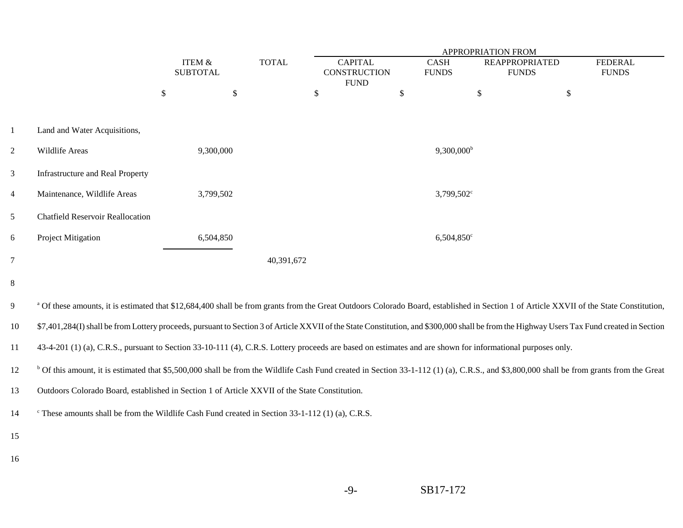|                 |                                         | <b>TOTAL</b>      |                 |            | APPROPRIATION FROM                    |               |                      |                                       |                                |  |  |
|-----------------|-----------------------------------------|-------------------|-----------------|------------|---------------------------------------|---------------|----------------------|---------------------------------------|--------------------------------|--|--|
|                 |                                         | <b>ITEM &amp;</b> | <b>SUBTOTAL</b> |            | <b>CAPITAL</b><br><b>CONSTRUCTION</b> |               | CASH<br><b>FUNDS</b> | <b>REAPPROPRIATED</b><br><b>FUNDS</b> | <b>FEDERAL</b><br><b>FUNDS</b> |  |  |
|                 |                                         | \$                | $\sqrt$         |            | <b>FUND</b><br>\$                     | $\mathcal{S}$ |                      | $\mathcal{S}$                         | \$                             |  |  |
| $\mathbf{1}$    | Land and Water Acquisitions,            |                   |                 |            |                                       |               |                      |                                       |                                |  |  |
| $\overline{c}$  | Wildlife Areas                          | 9,300,000         |                 |            |                                       |               | $9,300,000^{\rm b}$  |                                       |                                |  |  |
| $\mathfrak{Z}$  | <b>Infrastructure and Real Property</b> |                   |                 |            |                                       |               |                      |                                       |                                |  |  |
| $\overline{4}$  | Maintenance, Wildlife Areas             | 3,799,502         |                 |            |                                       |               | $3,799,502^{\circ}$  |                                       |                                |  |  |
| 5               | <b>Chatfield Reservoir Reallocation</b> |                   |                 |            |                                       |               |                      |                                       |                                |  |  |
| 6               | Project Mitigation                      | 6,504,850         |                 |            |                                       |               | $6,504,850^{\circ}$  |                                       |                                |  |  |
| $7\overline{ }$ |                                         |                   |                 | 40,391,672 |                                       |               |                      |                                       |                                |  |  |
| 8               |                                         |                   |                 |            |                                       |               |                      |                                       |                                |  |  |

#### <sup>9</sup> Of these amounts, it is estimated that \$12,684,400 shall be from grants from the Great Outdoors Colorado Board, established in Section 1 of Article XXVII of the State Constitution,

10\$7,401,284(I) shall be from Lottery proceeds, pursuant to Section 3 of Article XXVII of the State Constitution, and \$300,000 shall be from the Highway Users Tax Fund created in Section

1143-4-201 (1) (a), C.R.S., pursuant to Section 33-10-111 (4), C.R.S. Lottery proceeds are based on estimates and are shown for informational purposes only.

<sup>b</sup> Of this amount, it is estimated that \$5,500,000 shall be from the Wildlife Cash Fund created in Section 33-1-112 (1) (a), C.R.S., and \$3,800,000 shall be from grants from the Great

-9-

13Outdoors Colorado Board, established in Section 1 of Article XXVII of the State Constitution.

14  $\degree$  These amounts shall be from the Wildlife Cash Fund created in Section 33-1-112 (1) (a), C.R.S.

15

16

SB17-172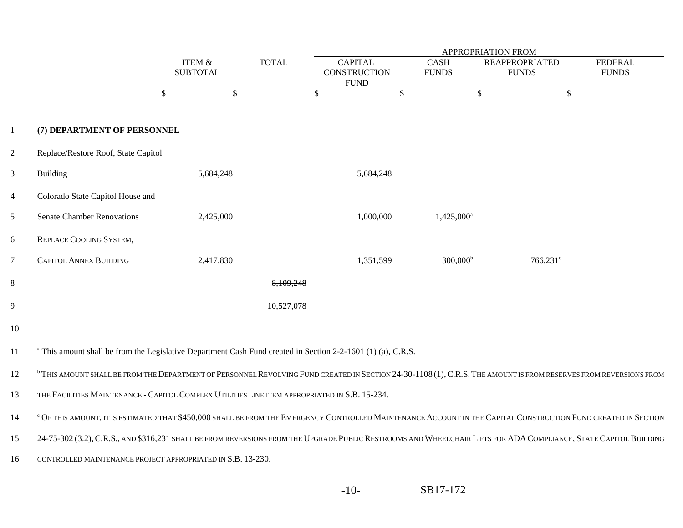|                |                                                                                                                                                                              |                           |              | <b>APPROPRIATION FROM</b>                            |                             |                                            |                                |  |  |  |  |
|----------------|------------------------------------------------------------------------------------------------------------------------------------------------------------------------------|---------------------------|--------------|------------------------------------------------------|-----------------------------|--------------------------------------------|--------------------------------|--|--|--|--|
|                |                                                                                                                                                                              | ITEM &<br><b>SUBTOTAL</b> | <b>TOTAL</b> | <b>CAPITAL</b><br><b>CONSTRUCTION</b><br><b>FUND</b> | <b>CASH</b><br><b>FUNDS</b> | <b>REAPPROPRIATED</b><br><b>FUNDS</b>      | <b>FEDERAL</b><br><b>FUNDS</b> |  |  |  |  |
|                |                                                                                                                                                                              | $\mathcal{S}$<br>\$       |              | $\mathcal{S}$                                        | \$                          | $\mathcal{S}$<br>$\boldsymbol{\mathsf{S}}$ |                                |  |  |  |  |
| $\mathbf{1}$   | (7) DEPARTMENT OF PERSONNEL                                                                                                                                                  |                           |              |                                                      |                             |                                            |                                |  |  |  |  |
| $\overline{2}$ | Replace/Restore Roof, State Capitol                                                                                                                                          |                           |              |                                                      |                             |                                            |                                |  |  |  |  |
| $\mathfrak{Z}$ | Building                                                                                                                                                                     | 5,684,248                 |              | 5,684,248                                            |                             |                                            |                                |  |  |  |  |
| $\overline{4}$ | Colorado State Capitol House and                                                                                                                                             |                           |              |                                                      |                             |                                            |                                |  |  |  |  |
| 5              | <b>Senate Chamber Renovations</b>                                                                                                                                            | 2,425,000                 |              | 1,000,000                                            | $1,425,000^a$               |                                            |                                |  |  |  |  |
| 6              | REPLACE COOLING SYSTEM,                                                                                                                                                      |                           |              |                                                      |                             |                                            |                                |  |  |  |  |
| 7              | CAPITOL ANNEX BUILDING                                                                                                                                                       | 2,417,830                 |              | 1,351,599                                            | $300,000^{\rm b}$           | 766,231 <sup>c</sup>                       |                                |  |  |  |  |
| $\,8\,$        |                                                                                                                                                                              |                           | 8,109,248    |                                                      |                             |                                            |                                |  |  |  |  |
| 9              |                                                                                                                                                                              |                           | 10,527,078   |                                                      |                             |                                            |                                |  |  |  |  |
| 10             |                                                                                                                                                                              |                           |              |                                                      |                             |                                            |                                |  |  |  |  |
| 11             | <sup>a</sup> This amount shall be from the Legislative Department Cash Fund created in Section 2-2-1601 (1) (a), C.R.S.                                                      |                           |              |                                                      |                             |                                            |                                |  |  |  |  |
| 12             | <sup>b</sup> THIS AMOUNT SHALL BE FROM THE DEPARTMENT OF PERSONNEL REVOLVING FUND CREATED IN SECTION 24-30-1108 (1), C.R.S. THE AMOUNT IS FROM RESERVES FROM REVERSIONS FROM |                           |              |                                                      |                             |                                            |                                |  |  |  |  |
| 13             | THE FACILITIES MAINTENANCE - CAPITOL COMPLEX UTILITIES LINE ITEM APPROPRIATED IN S.B. 15-234.                                                                                |                           |              |                                                      |                             |                                            |                                |  |  |  |  |
| 14             | ° OF THIS AMOUNT, IT IS ESTIMATED THAT \$450,000 SHALL BE FROM THE EMERGENCY CONTROLLED MAINTENANCE ACCOUNT IN THE CAPITAL CONSTRUCTION FUND CREATED IN SECTION              |                           |              |                                                      |                             |                                            |                                |  |  |  |  |
| 15             | 24-75-302 (3.2), C.R.S., AND \$316,231 SHALL BE FROM REVERSIONS FROM THE UPGRADE PUBLIC RESTROOMS AND WHEELCHAIR LIFTS FOR ADA COMPLIANCE, STATE CAPITOL BUILDING            |                           |              |                                                      |                             |                                            |                                |  |  |  |  |
| 16             | CONTROLLED MAINTENANCE PROJECT APPROPRIATED IN S.B. 13-230.                                                                                                                  |                           |              |                                                      |                             |                                            |                                |  |  |  |  |
|                |                                                                                                                                                                              |                           |              |                                                      |                             |                                            |                                |  |  |  |  |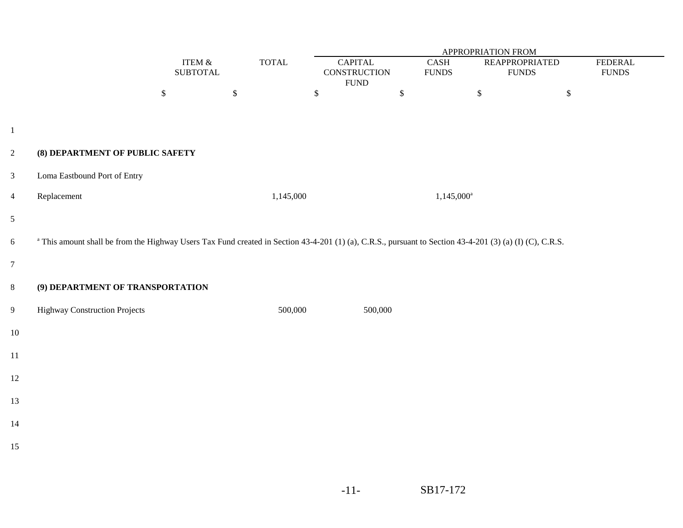| APPROPRIATION FROM |                                                                                                                                                                     |                              |              |                        |                                               |              |                      |                                       |              |                                 |
|--------------------|---------------------------------------------------------------------------------------------------------------------------------------------------------------------|------------------------------|--------------|------------------------|-----------------------------------------------|--------------|----------------------|---------------------------------------|--------------|---------------------------------|
|                    |                                                                                                                                                                     | ITEM $\&$<br><b>SUBTOTAL</b> |              | $\operatorname{TOTAL}$ | <b>CAPITAL</b><br>CONSTRUCTION<br><b>FUND</b> |              | CASH<br><b>FUNDS</b> | <b>REAPPROPRIATED</b><br><b>FUNDS</b> |              | <b>FEDERAL</b><br>${\rm FUNDS}$ |
|                    |                                                                                                                                                                     | $\mathbb{S}$                 | $\mathbb{S}$ | \$                     |                                               | $\mathbb{S}$ |                      | $\mathbb S$                           | $\mathbb{S}$ |                                 |
|                    |                                                                                                                                                                     |                              |              |                        |                                               |              |                      |                                       |              |                                 |
| $\mathbf{1}$       |                                                                                                                                                                     |                              |              |                        |                                               |              |                      |                                       |              |                                 |
| $\overline{2}$     | (8) DEPARTMENT OF PUBLIC SAFETY                                                                                                                                     |                              |              |                        |                                               |              |                      |                                       |              |                                 |
| $\overline{3}$     | Loma Eastbound Port of Entry                                                                                                                                        |                              |              |                        |                                               |              |                      |                                       |              |                                 |
| $\overline{4}$     | Replacement                                                                                                                                                         |                              |              | 1,145,000              |                                               |              | $1,145,000^a$        |                                       |              |                                 |
| $\mathfrak{S}$     |                                                                                                                                                                     |                              |              |                        |                                               |              |                      |                                       |              |                                 |
| 6                  | <sup>a</sup> This amount shall be from the Highway Users Tax Fund created in Section 43-4-201 (1) (a), C.R.S., pursuant to Section 43-4-201 (3) (a) (I) (C), C.R.S. |                              |              |                        |                                               |              |                      |                                       |              |                                 |
| $\overline{7}$     |                                                                                                                                                                     |                              |              |                        |                                               |              |                      |                                       |              |                                 |
| $8\,$              | (9) DEPARTMENT OF TRANSPORTATION                                                                                                                                    |                              |              |                        |                                               |              |                      |                                       |              |                                 |
| $\overline{9}$     | <b>Highway Construction Projects</b>                                                                                                                                |                              |              | 500,000                | 500,000                                       |              |                      |                                       |              |                                 |
| 10                 |                                                                                                                                                                     |                              |              |                        |                                               |              |                      |                                       |              |                                 |
| 11                 |                                                                                                                                                                     |                              |              |                        |                                               |              |                      |                                       |              |                                 |
| 12                 |                                                                                                                                                                     |                              |              |                        |                                               |              |                      |                                       |              |                                 |
| 13                 |                                                                                                                                                                     |                              |              |                        |                                               |              |                      |                                       |              |                                 |
| 14                 |                                                                                                                                                                     |                              |              |                        |                                               |              |                      |                                       |              |                                 |
| 15                 |                                                                                                                                                                     |                              |              |                        |                                               |              |                      |                                       |              |                                 |
|                    |                                                                                                                                                                     |                              |              |                        |                                               |              |                      |                                       |              |                                 |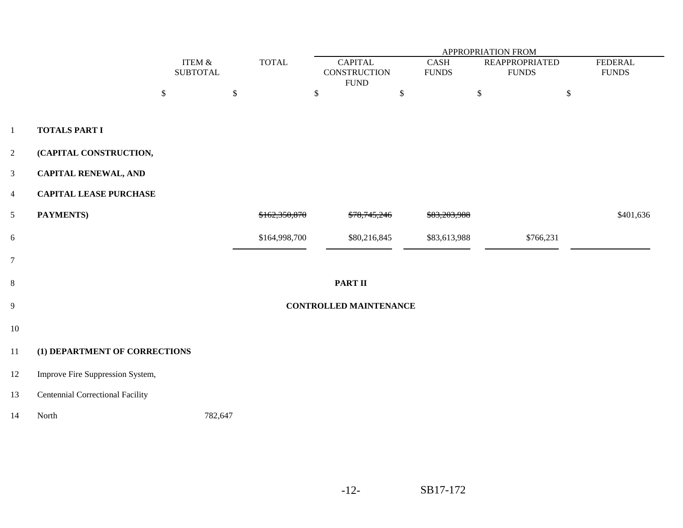|                         |                                         |                           |               |                                                       | APPROPRIATION FROM<br><b>FEDERAL</b> |                                       |           |  |  |  |  |
|-------------------------|-----------------------------------------|---------------------------|---------------|-------------------------------------------------------|--------------------------------------|---------------------------------------|-----------|--|--|--|--|
|                         |                                         | ITEM &<br><b>SUBTOTAL</b> | <b>TOTAL</b>  | <b>CAPITAL</b><br><b>CONSTRUCTION</b><br>${\rm FUND}$ | <b>CASH</b><br><b>FUNDS</b>          | <b>REAPPROPRIATED</b><br><b>FUNDS</b> |           |  |  |  |  |
|                         | $\boldsymbol{\mathsf{S}}$               | \$                        |               | \$                                                    | $\boldsymbol{\mathsf{S}}$            | $\$\,$                                | $\$\,$    |  |  |  |  |
| $\mathbf{1}$            | <b>TOTALS PART I</b>                    |                           |               |                                                       |                                      |                                       |           |  |  |  |  |
| $\overline{2}$          | (CAPITAL CONSTRUCTION,                  |                           |               |                                                       |                                      |                                       |           |  |  |  |  |
| 3                       | <b>CAPITAL RENEWAL, AND</b>             |                           |               |                                                       |                                      |                                       |           |  |  |  |  |
| $\overline{\mathbf{4}}$ | <b>CAPITAL LEASE PURCHASE</b>           |                           |               |                                                       |                                      |                                       |           |  |  |  |  |
| 5                       | PAYMENTS)                               |                           | \$162,350,870 | \$78,745,246                                          | \$83,203,988                         |                                       | \$401,636 |  |  |  |  |
| $6\,$                   |                                         |                           | \$164,998,700 | \$80,216,845                                          | \$83,613,988                         | \$766,231                             |           |  |  |  |  |
| $\overline{7}$          |                                         |                           |               |                                                       |                                      |                                       |           |  |  |  |  |
| $\,8\,$                 |                                         |                           |               | <b>PART II</b>                                        |                                      |                                       |           |  |  |  |  |
| $\overline{9}$          |                                         |                           |               | <b>CONTROLLED MAINTENANCE</b>                         |                                      |                                       |           |  |  |  |  |
| 10                      |                                         |                           |               |                                                       |                                      |                                       |           |  |  |  |  |
| $11\,$                  | (1) DEPARTMENT OF CORRECTIONS           |                           |               |                                                       |                                      |                                       |           |  |  |  |  |
| 12                      | Improve Fire Suppression System,        |                           |               |                                                       |                                      |                                       |           |  |  |  |  |
| 13                      | <b>Centennial Correctional Facility</b> |                           |               |                                                       |                                      |                                       |           |  |  |  |  |
| 14                      | North                                   | 782,647                   |               |                                                       |                                      |                                       |           |  |  |  |  |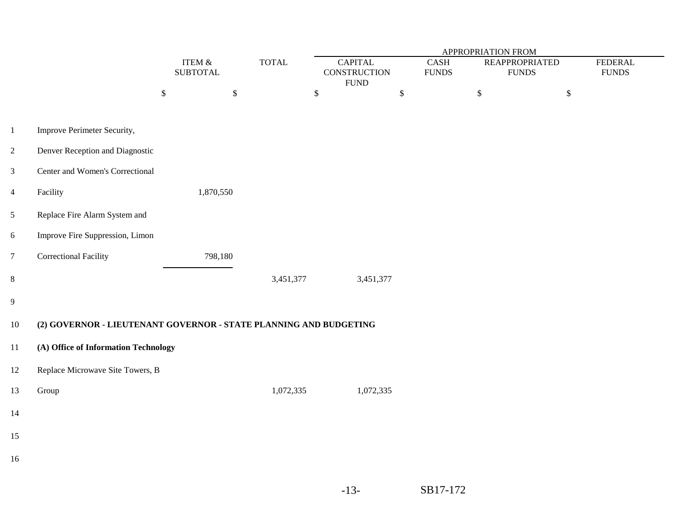|                |                                                                   | APPROPRIATION FROM           |              |                                                       |                      |                                       |                                |  |
|----------------|-------------------------------------------------------------------|------------------------------|--------------|-------------------------------------------------------|----------------------|---------------------------------------|--------------------------------|--|
|                |                                                                   | ITEM $\&$<br><b>SUBTOTAL</b> | <b>TOTAL</b> | <b>CAPITAL</b><br><b>CONSTRUCTION</b><br>${\rm FUND}$ | CASH<br><b>FUNDS</b> | <b>REAPPROPRIATED</b><br><b>FUNDS</b> | <b>FEDERAL</b><br><b>FUNDS</b> |  |
|                |                                                                   | $\mathbb{S}$<br>$\mathbb{S}$ |              | $\,$                                                  | $\mathbb{S}$         | $\mathbb{S}$                          | $\$$                           |  |
| $1\,$          | Improve Perimeter Security,                                       |                              |              |                                                       |                      |                                       |                                |  |
| $\overline{2}$ | Denver Reception and Diagnostic                                   |                              |              |                                                       |                      |                                       |                                |  |
| $\mathfrak{Z}$ | Center and Women's Correctional                                   |                              |              |                                                       |                      |                                       |                                |  |
| $\overline{4}$ | Facility                                                          | 1,870,550                    |              |                                                       |                      |                                       |                                |  |
| $\mathfrak s$  | Replace Fire Alarm System and                                     |                              |              |                                                       |                      |                                       |                                |  |
| $\sqrt{6}$     | Improve Fire Suppression, Limon                                   |                              |              |                                                       |                      |                                       |                                |  |
| $\overline{7}$ | <b>Correctional Facility</b>                                      | 798,180                      |              |                                                       |                      |                                       |                                |  |
| $8\,$          |                                                                   |                              | 3,451,377    | 3,451,377                                             |                      |                                       |                                |  |
| $\overline{9}$ |                                                                   |                              |              |                                                       |                      |                                       |                                |  |
| $10\,$         | (2) GOVERNOR - LIEUTENANT GOVERNOR - STATE PLANNING AND BUDGETING |                              |              |                                                       |                      |                                       |                                |  |
| 11             | (A) Office of Information Technology                              |                              |              |                                                       |                      |                                       |                                |  |
| 12             | Replace Microwave Site Towers, B                                  |                              |              |                                                       |                      |                                       |                                |  |
| 13             | Group                                                             |                              | 1,072,335    | 1,072,335                                             |                      |                                       |                                |  |
| 14             |                                                                   |                              |              |                                                       |                      |                                       |                                |  |
| 15             |                                                                   |                              |              |                                                       |                      |                                       |                                |  |
| 16             |                                                                   |                              |              |                                                       |                      |                                       |                                |  |
|                |                                                                   |                              |              |                                                       |                      |                                       |                                |  |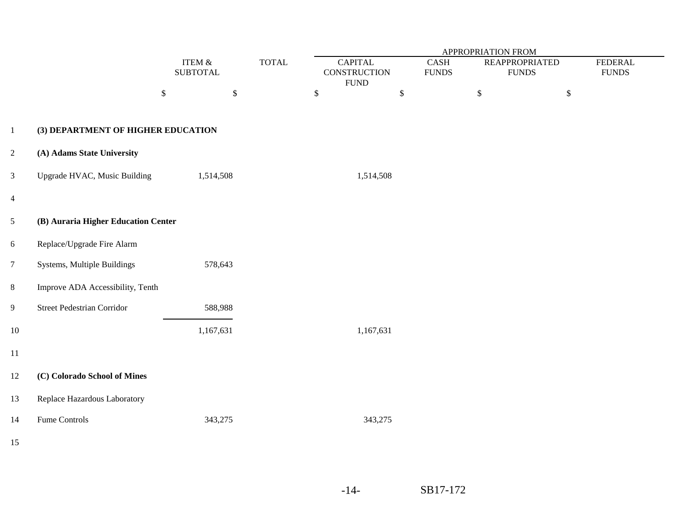|                 |                                     |              |                              | <b>TOTAL</b> | <b>APPROPRIATION FROM</b> |                                                       |                          |              |                                       |                                 |  |
|-----------------|-------------------------------------|--------------|------------------------------|--------------|---------------------------|-------------------------------------------------------|--------------------------|--------------|---------------------------------------|---------------------------------|--|
|                 |                                     |              | ITEM $\&$<br><b>SUBTOTAL</b> |              |                           | <b>CAPITAL</b><br><b>CONSTRUCTION</b><br>${\rm FUND}$ | CASH<br>${\hbox{FUNDS}}$ |              | <b>REAPPROPRIATED</b><br><b>FUNDS</b> | <b>FEDERAL</b><br>${\rm FUNDS}$ |  |
|                 |                                     | $\mathbb{S}$ | $\$$                         |              | $\mathbb{S}$              | $\,$                                                  |                          | $\mathbb{S}$ | $\$$                                  |                                 |  |
| $\mathbf{1}$    | (3) DEPARTMENT OF HIGHER EDUCATION  |              |                              |              |                           |                                                       |                          |              |                                       |                                 |  |
| $\overline{2}$  | (A) Adams State University          |              |                              |              |                           |                                                       |                          |              |                                       |                                 |  |
| $\mathfrak{Z}$  | Upgrade HVAC, Music Building        |              | 1,514,508                    |              |                           | 1,514,508                                             |                          |              |                                       |                                 |  |
| $\overline{4}$  |                                     |              |                              |              |                           |                                                       |                          |              |                                       |                                 |  |
| $\mathfrak{S}$  | (B) Auraria Higher Education Center |              |                              |              |                           |                                                       |                          |              |                                       |                                 |  |
| $6\,$           | Replace/Upgrade Fire Alarm          |              |                              |              |                           |                                                       |                          |              |                                       |                                 |  |
| $7\phantom{.0}$ | Systems, Multiple Buildings         |              | 578,643                      |              |                           |                                                       |                          |              |                                       |                                 |  |
| $8\,$           | Improve ADA Accessibility, Tenth    |              |                              |              |                           |                                                       |                          |              |                                       |                                 |  |
| $\overline{9}$  | <b>Street Pedestrian Corridor</b>   |              | 588,988                      |              |                           |                                                       |                          |              |                                       |                                 |  |
| $10\,$          |                                     |              | 1,167,631                    |              |                           | 1,167,631                                             |                          |              |                                       |                                 |  |
| $11\,$          |                                     |              |                              |              |                           |                                                       |                          |              |                                       |                                 |  |
| $12\,$          | (C) Colorado School of Mines        |              |                              |              |                           |                                                       |                          |              |                                       |                                 |  |
| 13              | Replace Hazardous Laboratory        |              |                              |              |                           |                                                       |                          |              |                                       |                                 |  |
| 14              | Fume Controls                       |              | 343,275                      |              |                           | 343,275                                               |                          |              |                                       |                                 |  |
| 15              |                                     |              |                              |              |                           |                                                       |                          |              |                                       |                                 |  |
|                 |                                     |              |                              |              |                           |                                                       |                          |              |                                       |                                 |  |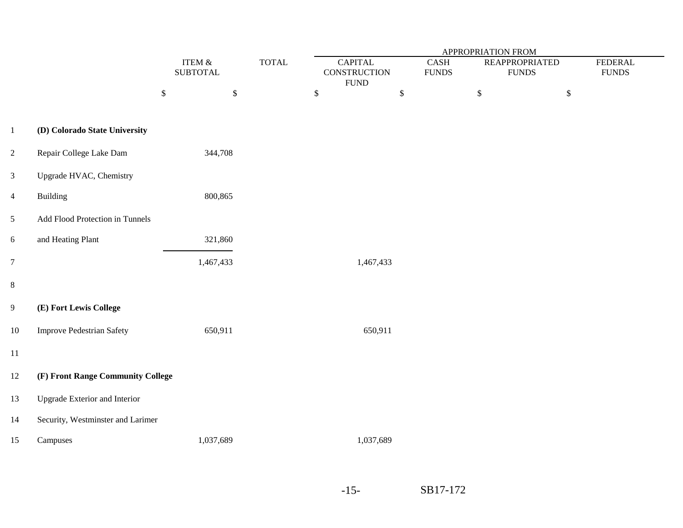|                |                                      |                              |              | APPROPRIATION FROM                             |                          |                                        |                                |  |  |  |
|----------------|--------------------------------------|------------------------------|--------------|------------------------------------------------|--------------------------|----------------------------------------|--------------------------------|--|--|--|
|                |                                      | ITEM $\&$<br><b>SUBTOTAL</b> | <b>TOTAL</b> | <b>CAPITAL</b><br>CONSTRUCTION<br>${\rm FUND}$ | CASH<br>${\hbox{FUNDS}}$ | <b>REAPPROPRIATED</b><br>${\rm FUNDS}$ | <b>FEDERAL</b><br><b>FUNDS</b> |  |  |  |
|                |                                      | $\mathbb{S}$<br>$\mathbb{S}$ |              | $\mathbb{S}$                                   | $\boldsymbol{\$}$        | $\mathbb{S}$                           | $\$$                           |  |  |  |
| $\mathbf{1}$   | (D) Colorado State University        |                              |              |                                                |                          |                                        |                                |  |  |  |
| $\overline{2}$ | Repair College Lake Dam              | 344,708                      |              |                                                |                          |                                        |                                |  |  |  |
| $\mathfrak{Z}$ | Upgrade HVAC, Chemistry              |                              |              |                                                |                          |                                        |                                |  |  |  |
| $\overline{4}$ | <b>Building</b>                      | 800,865                      |              |                                                |                          |                                        |                                |  |  |  |
| $\mathfrak{S}$ | Add Flood Protection in Tunnels      |                              |              |                                                |                          |                                        |                                |  |  |  |
| 6              | and Heating Plant                    | 321,860                      |              |                                                |                          |                                        |                                |  |  |  |
| $\overline{7}$ |                                      | 1,467,433                    |              | 1,467,433                                      |                          |                                        |                                |  |  |  |
| 8              |                                      |                              |              |                                                |                          |                                        |                                |  |  |  |
| 9              | (E) Fort Lewis College               |                              |              |                                                |                          |                                        |                                |  |  |  |
| $10\,$         | <b>Improve Pedestrian Safety</b>     | 650,911                      |              | 650,911                                        |                          |                                        |                                |  |  |  |
| $11\,$         |                                      |                              |              |                                                |                          |                                        |                                |  |  |  |
| $12\,$         | (F) Front Range Community College    |                              |              |                                                |                          |                                        |                                |  |  |  |
| 13             | <b>Upgrade Exterior and Interior</b> |                              |              |                                                |                          |                                        |                                |  |  |  |
| 14             | Security, Westminster and Larimer    |                              |              |                                                |                          |                                        |                                |  |  |  |
| 15             | Campuses                             | 1,037,689                    |              | 1,037,689                                      |                          |                                        |                                |  |  |  |
|                |                                      |                              |              |                                                |                          |                                        |                                |  |  |  |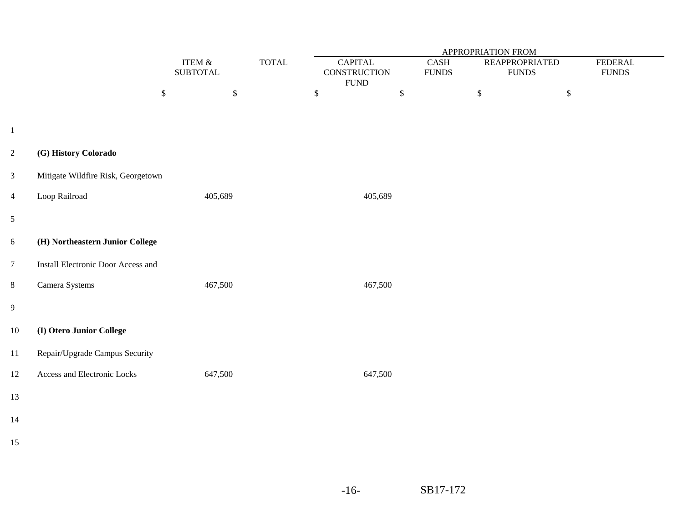|                |                                    |                                   |                        | APPROPRIATION FROM                                    |                                       |                                      |              |                                |  |  |
|----------------|------------------------------------|-----------------------------------|------------------------|-------------------------------------------------------|---------------------------------------|--------------------------------------|--------------|--------------------------------|--|--|
|                |                                    | ITEM $\&$<br><b>SUBTOTAL</b>      | $\operatorname{TOTAL}$ | <b>CAPITAL</b><br><b>CONSTRUCTION</b><br>${\rm FUND}$ | $\operatorname{CASH}$<br><b>FUNDS</b> | <b>REAPPROPRIATED</b><br>$\rm FUNDS$ |              | <b>FEDERAL</b><br><b>FUNDS</b> |  |  |
|                |                                    | $\boldsymbol{\$}$<br>$\mathbb{S}$ |                        | \$                                                    | $\mathbb{S}$                          | $\mathbb{S}$                         | $\mathbb{S}$ |                                |  |  |
| $\mathbf{1}$   |                                    |                                   |                        |                                                       |                                       |                                      |              |                                |  |  |
| $\overline{2}$ | (G) History Colorado               |                                   |                        |                                                       |                                       |                                      |              |                                |  |  |
| $\mathfrak{Z}$ | Mitigate Wildfire Risk, Georgetown |                                   |                        |                                                       |                                       |                                      |              |                                |  |  |
| $\overline{4}$ | Loop Railroad                      | 405,689                           |                        | 405,689                                               |                                       |                                      |              |                                |  |  |
| $\mathfrak{S}$ |                                    |                                   |                        |                                                       |                                       |                                      |              |                                |  |  |
| 6              | (H) Northeastern Junior College    |                                   |                        |                                                       |                                       |                                      |              |                                |  |  |
| $\overline{7}$ | Install Electronic Door Access and |                                   |                        |                                                       |                                       |                                      |              |                                |  |  |
| $8\,$          | Camera Systems                     | 467,500                           |                        | 467,500                                               |                                       |                                      |              |                                |  |  |
| $\overline{9}$ |                                    |                                   |                        |                                                       |                                       |                                      |              |                                |  |  |
| 10             | (I) Otero Junior College           |                                   |                        |                                                       |                                       |                                      |              |                                |  |  |
| 11             | Repair/Upgrade Campus Security     |                                   |                        |                                                       |                                       |                                      |              |                                |  |  |
| 12             | Access and Electronic Locks        | 647,500                           |                        | 647,500                                               |                                       |                                      |              |                                |  |  |
| 13             |                                    |                                   |                        |                                                       |                                       |                                      |              |                                |  |  |
| 14             |                                    |                                   |                        |                                                       |                                       |                                      |              |                                |  |  |
| 15             |                                    |                                   |                        |                                                       |                                       |                                      |              |                                |  |  |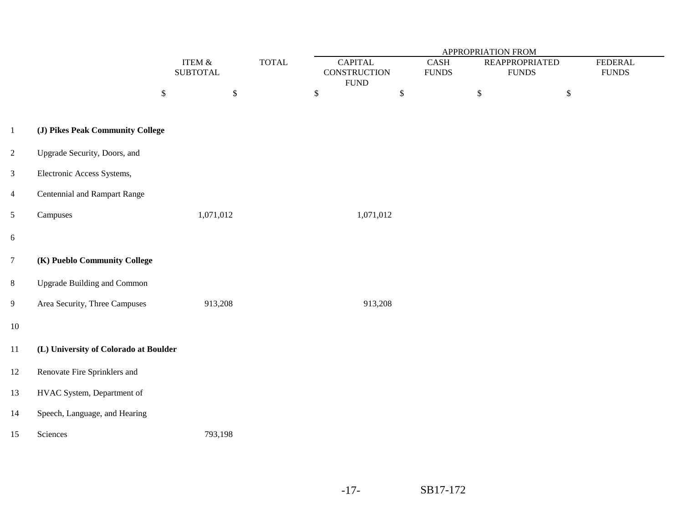|                  |                                       |                              |              | APPROPRIATION FROM                                    |                                   |                                       |                                |  |  |  |
|------------------|---------------------------------------|------------------------------|--------------|-------------------------------------------------------|-----------------------------------|---------------------------------------|--------------------------------|--|--|--|
|                  |                                       | ITEM $\&$<br><b>SUBTOTAL</b> | <b>TOTAL</b> | <b>CAPITAL</b><br><b>CONSTRUCTION</b><br>${\rm FUND}$ | $\mbox{CASH}$<br>${\hbox{FUNDS}}$ | <b>REAPPROPRIATED</b><br><b>FUNDS</b> | <b>FEDERAL</b><br><b>FUNDS</b> |  |  |  |
|                  |                                       | $\mathbb{S}$<br>\$           |              | $\mathbb{S}$                                          | $\mathbb{S}$                      | $\boldsymbol{\$}$                     | $\mathbb{S}$                   |  |  |  |
| $\mathbf{1}$     | (J) Pikes Peak Community College      |                              |              |                                                       |                                   |                                       |                                |  |  |  |
| $\overline{2}$   | Upgrade Security, Doors, and          |                              |              |                                                       |                                   |                                       |                                |  |  |  |
| $\mathfrak{Z}$   | Electronic Access Systems,            |                              |              |                                                       |                                   |                                       |                                |  |  |  |
| $\overline{4}$   | Centennial and Rampart Range          |                              |              |                                                       |                                   |                                       |                                |  |  |  |
| $5\phantom{.0}$  | Campuses                              | 1,071,012                    |              | 1,071,012                                             |                                   |                                       |                                |  |  |  |
| $\boldsymbol{6}$ |                                       |                              |              |                                                       |                                   |                                       |                                |  |  |  |
| $\overline{7}$   | (K) Pueblo Community College          |                              |              |                                                       |                                   |                                       |                                |  |  |  |
| $\,8\,$          | <b>Upgrade Building and Common</b>    |                              |              |                                                       |                                   |                                       |                                |  |  |  |
| $\overline{9}$   | Area Security, Three Campuses         | 913,208                      |              | 913,208                                               |                                   |                                       |                                |  |  |  |
| $10\,$           |                                       |                              |              |                                                       |                                   |                                       |                                |  |  |  |
| 11               | (L) University of Colorado at Boulder |                              |              |                                                       |                                   |                                       |                                |  |  |  |
| 12               | Renovate Fire Sprinklers and          |                              |              |                                                       |                                   |                                       |                                |  |  |  |
| 13               | HVAC System, Department of            |                              |              |                                                       |                                   |                                       |                                |  |  |  |
| 14               | Speech, Language, and Hearing         |                              |              |                                                       |                                   |                                       |                                |  |  |  |
| 15               | Sciences                              | 793,198                      |              |                                                       |                                   |                                       |                                |  |  |  |
|                  |                                       |                              |              |                                                       |                                   |                                       |                                |  |  |  |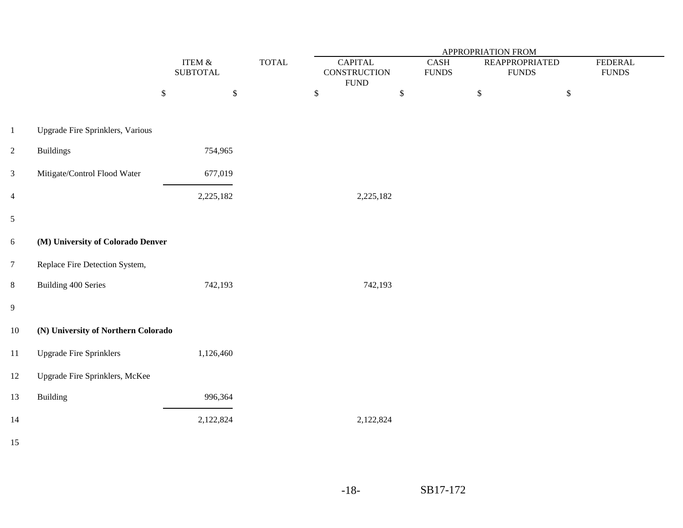|                         |                                     |                              |                        | APPROPRIATION FROM                                   |                                   |                                       |                                 |  |  |  |
|-------------------------|-------------------------------------|------------------------------|------------------------|------------------------------------------------------|-----------------------------------|---------------------------------------|---------------------------------|--|--|--|
|                         |                                     | ITEM $\&$<br><b>SUBTOTAL</b> | $\operatorname{TOTAL}$ | <b>CAPITAL</b><br><b>CONSTRUCTION</b><br><b>FUND</b> | $\mbox{CASH}$<br>${\hbox{FUNDS}}$ | <b>REAPPROPRIATED</b><br><b>FUNDS</b> | <b>FEDERAL</b><br>${\rm FUNDS}$ |  |  |  |
|                         |                                     | $\mathbb{S}$<br>$\$$         |                        | $\$\,$                                               | $\mathbb{S}$                      | $\mathbb{S}$                          | \$                              |  |  |  |
| $1\,$                   | Upgrade Fire Sprinklers, Various    |                              |                        |                                                      |                                   |                                       |                                 |  |  |  |
| $\overline{2}$          | <b>Buildings</b>                    | 754,965                      |                        |                                                      |                                   |                                       |                                 |  |  |  |
| $\overline{3}$          | Mitigate/Control Flood Water        | 677,019                      |                        |                                                      |                                   |                                       |                                 |  |  |  |
| $\overline{\mathbf{4}}$ |                                     | 2,225,182                    |                        | 2,225,182                                            |                                   |                                       |                                 |  |  |  |
| $\mathfrak s$           |                                     |                              |                        |                                                      |                                   |                                       |                                 |  |  |  |
| 6                       | (M) University of Colorado Denver   |                              |                        |                                                      |                                   |                                       |                                 |  |  |  |
| $\overline{7}$          | Replace Fire Detection System,      |                              |                        |                                                      |                                   |                                       |                                 |  |  |  |
| 8                       | <b>Building 400 Series</b>          | 742,193                      |                        | 742,193                                              |                                   |                                       |                                 |  |  |  |
| 9                       |                                     |                              |                        |                                                      |                                   |                                       |                                 |  |  |  |
| $10\,$                  | (N) University of Northern Colorado |                              |                        |                                                      |                                   |                                       |                                 |  |  |  |
| $11\,$                  | <b>Upgrade Fire Sprinklers</b>      | 1,126,460                    |                        |                                                      |                                   |                                       |                                 |  |  |  |
| $12\,$                  | Upgrade Fire Sprinklers, McKee      |                              |                        |                                                      |                                   |                                       |                                 |  |  |  |
| 13                      | <b>Building</b>                     | 996,364                      |                        |                                                      |                                   |                                       |                                 |  |  |  |
| 14                      |                                     | 2,122,824                    |                        | 2,122,824                                            |                                   |                                       |                                 |  |  |  |
| $\sim$ $-$              |                                     |                              |                        |                                                      |                                   |                                       |                                 |  |  |  |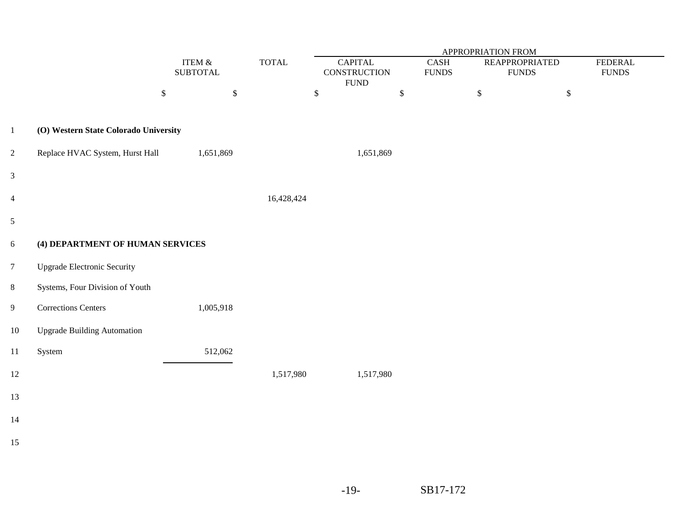|                |                                       |                              |              |                               | <b>APPROPRIATION FROM</b>                       |             |                                   |                                       |              |                                |  |
|----------------|---------------------------------------|------------------------------|--------------|-------------------------------|-------------------------------------------------|-------------|-----------------------------------|---------------------------------------|--------------|--------------------------------|--|
|                |                                       | ITEM $\&$<br><b>SUBTOTAL</b> |              | $\ensuremath{\mathsf{TOTAL}}$ | ${\sf CAPITAL}$<br>CONSTRUCTION<br>${\rm FUND}$ |             | $\mbox{CASH}$<br>${\hbox{FUNDS}}$ | <b>REAPPROPRIATED</b><br><b>FUNDS</b> |              | <b>FEDERAL</b><br><b>FUNDS</b> |  |
|                |                                       | $\mathbb{S}$                 | $\mathbb{S}$ |                               | $\$$                                            | $\mathbb S$ |                                   | $\,$                                  | $\mathbb{S}$ |                                |  |
| $\mathbf{1}$   | (O) Western State Colorado University |                              |              |                               |                                                 |             |                                   |                                       |              |                                |  |
| $\overline{2}$ | Replace HVAC System, Hurst Hall       |                              | 1,651,869    |                               | 1,651,869                                       |             |                                   |                                       |              |                                |  |
| $\mathfrak{Z}$ |                                       |                              |              |                               |                                                 |             |                                   |                                       |              |                                |  |
| $\overline{4}$ |                                       |                              |              | 16,428,424                    |                                                 |             |                                   |                                       |              |                                |  |
| 5              |                                       |                              |              |                               |                                                 |             |                                   |                                       |              |                                |  |
| 6              | (4) DEPARTMENT OF HUMAN SERVICES      |                              |              |                               |                                                 |             |                                   |                                       |              |                                |  |
| $\overline{7}$ | <b>Upgrade Electronic Security</b>    |                              |              |                               |                                                 |             |                                   |                                       |              |                                |  |
| $8\,$          | Systems, Four Division of Youth       |                              |              |                               |                                                 |             |                                   |                                       |              |                                |  |
| $\overline{9}$ | <b>Corrections Centers</b>            |                              | 1,005,918    |                               |                                                 |             |                                   |                                       |              |                                |  |
| $10\,$         | <b>Upgrade Building Automation</b>    |                              |              |                               |                                                 |             |                                   |                                       |              |                                |  |
| $11\,$         | System                                |                              | 512,062      |                               |                                                 |             |                                   |                                       |              |                                |  |
| $12\,$         |                                       |                              |              | 1,517,980                     | 1,517,980                                       |             |                                   |                                       |              |                                |  |
| 13             |                                       |                              |              |                               |                                                 |             |                                   |                                       |              |                                |  |
| $14$           |                                       |                              |              |                               |                                                 |             |                                   |                                       |              |                                |  |
| 15             |                                       |                              |              |                               |                                                 |             |                                   |                                       |              |                                |  |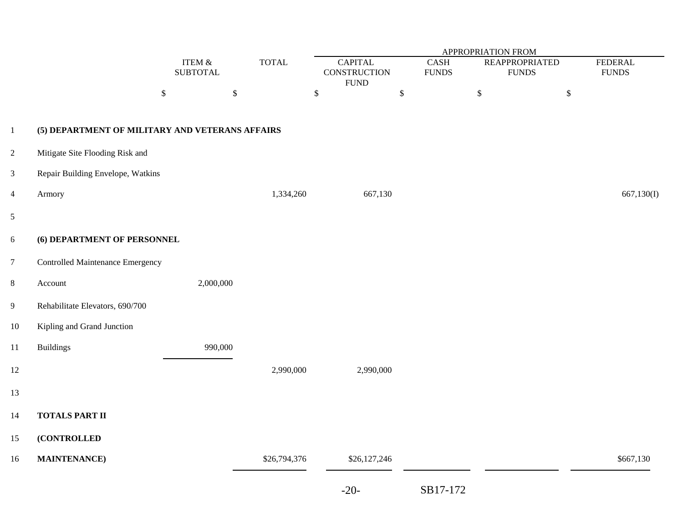|                |                                                 |                              |              | <b>APPROPRIATION FROM</b>                            |                             |                                           |                                    |  |  |  |  |
|----------------|-------------------------------------------------|------------------------------|--------------|------------------------------------------------------|-----------------------------|-------------------------------------------|------------------------------------|--|--|--|--|
|                |                                                 | ITEM $\&$<br><b>SUBTOTAL</b> | <b>TOTAL</b> | <b>CAPITAL</b><br><b>CONSTRUCTION</b><br><b>FUND</b> | <b>CASH</b><br><b>FUNDS</b> | <b>REAPPROPRIATED</b><br>${\hbox{FUNDS}}$ | <b>FEDERAL</b><br>${\hbox{FUNDS}}$ |  |  |  |  |
|                | $\mathbb{S}$                                    | $\mathbb{S}$                 |              | $\mathbb{S}$                                         | $\mathbb{S}$                | $\mathbb{S}$                              | $\mathbb{S}$                       |  |  |  |  |
| $\mathbf{1}$   | (5) DEPARTMENT OF MILITARY AND VETERANS AFFAIRS |                              |              |                                                      |                             |                                           |                                    |  |  |  |  |
| $\overline{c}$ | Mitigate Site Flooding Risk and                 |                              |              |                                                      |                             |                                           |                                    |  |  |  |  |
| $\mathfrak{Z}$ | Repair Building Envelope, Watkins               |                              |              |                                                      |                             |                                           |                                    |  |  |  |  |
| $\overline{4}$ | Armory                                          |                              | 1,334,260    | 667,130                                              |                             |                                           | 667,130(I)                         |  |  |  |  |
| $\mathfrak{S}$ |                                                 |                              |              |                                                      |                             |                                           |                                    |  |  |  |  |
| $6\,$          | (6) DEPARTMENT OF PERSONNEL                     |                              |              |                                                      |                             |                                           |                                    |  |  |  |  |
| $\overline{7}$ | <b>Controlled Maintenance Emergency</b>         |                              |              |                                                      |                             |                                           |                                    |  |  |  |  |
| $8\,$          | Account                                         | 2,000,000                    |              |                                                      |                             |                                           |                                    |  |  |  |  |
| $\overline{9}$ | Rehabilitate Elevators, 690/700                 |                              |              |                                                      |                             |                                           |                                    |  |  |  |  |
| $10\,$         | Kipling and Grand Junction                      |                              |              |                                                      |                             |                                           |                                    |  |  |  |  |
| 11             | <b>Buildings</b>                                | 990,000                      |              |                                                      |                             |                                           |                                    |  |  |  |  |
| $12\,$         |                                                 |                              | 2,990,000    | 2,990,000                                            |                             |                                           |                                    |  |  |  |  |
| 13             |                                                 |                              |              |                                                      |                             |                                           |                                    |  |  |  |  |
| 14             | <b>TOTALS PART II</b>                           |                              |              |                                                      |                             |                                           |                                    |  |  |  |  |
| 15             | (CONTROLLED                                     |                              |              |                                                      |                             |                                           |                                    |  |  |  |  |
| $16\,$         | <b>MAINTENANCE</b> )                            |                              | \$26,794,376 | \$26,127,246                                         |                             |                                           | \$667,130                          |  |  |  |  |
|                |                                                 |                              |              | $-20-$                                               | SB17-172                    |                                           |                                    |  |  |  |  |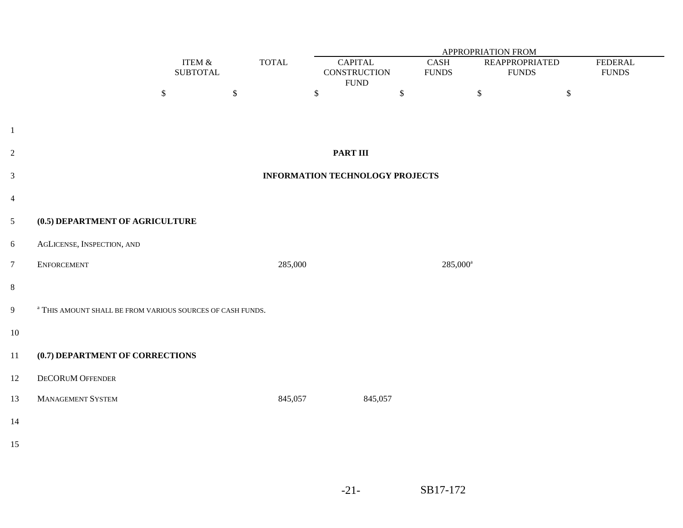|                         | <b>APPROPRIATION FROM</b>                                             |                              |              |                                        |                                                       |                      |                                       |                                |  |
|-------------------------|-----------------------------------------------------------------------|------------------------------|--------------|----------------------------------------|-------------------------------------------------------|----------------------|---------------------------------------|--------------------------------|--|
|                         |                                                                       | ITEM $\&$<br><b>SUBTOTAL</b> | <b>TOTAL</b> |                                        | <b>CAPITAL</b><br><b>CONSTRUCTION</b><br>${\rm FUND}$ | CASH<br><b>FUNDS</b> | <b>REAPPROPRIATED</b><br><b>FUNDS</b> | <b>FEDERAL</b><br><b>FUNDS</b> |  |
|                         |                                                                       | $\$\,$                       | $\mathbb{S}$ | $\mathbb{S}$                           | $\mathbb{S}$                                          | \$                   | $\mathbb{S}$                          |                                |  |
|                         |                                                                       |                              |              |                                        |                                                       |                      |                                       |                                |  |
| $\mathbf{1}$            |                                                                       |                              |              |                                        |                                                       |                      |                                       |                                |  |
| $\overline{c}$          |                                                                       |                              |              | <b>PART III</b>                        |                                                       |                      |                                       |                                |  |
| $\overline{\mathbf{3}}$ |                                                                       |                              |              | <b>INFORMATION TECHNOLOGY PROJECTS</b> |                                                       |                      |                                       |                                |  |
| $\overline{\mathbf{4}}$ |                                                                       |                              |              |                                        |                                                       |                      |                                       |                                |  |
| 5                       | (0.5) DEPARTMENT OF AGRICULTURE                                       |                              |              |                                        |                                                       |                      |                                       |                                |  |
| 6                       | AGLICENSE, INSPECTION, AND                                            |                              |              |                                        |                                                       |                      |                                       |                                |  |
| 7                       | ENFORCEMENT                                                           |                              |              | 285,000                                |                                                       | 285,000 <sup>a</sup> |                                       |                                |  |
| 8                       |                                                                       |                              |              |                                        |                                                       |                      |                                       |                                |  |
| 9                       | <sup>a</sup> THIS AMOUNT SHALL BE FROM VARIOUS SOURCES OF CASH FUNDS. |                              |              |                                        |                                                       |                      |                                       |                                |  |
| 10                      |                                                                       |                              |              |                                        |                                                       |                      |                                       |                                |  |
| 11                      | (0.7) DEPARTMENT OF CORRECTIONS                                       |                              |              |                                        |                                                       |                      |                                       |                                |  |
| 12                      | DECORUM OFFENDER                                                      |                              |              |                                        |                                                       |                      |                                       |                                |  |
| 13                      | <b>MANAGEMENT SYSTEM</b>                                              |                              |              | 845,057                                | 845,057                                               |                      |                                       |                                |  |
| 14                      |                                                                       |                              |              |                                        |                                                       |                      |                                       |                                |  |
| 15                      |                                                                       |                              |              |                                        |                                                       |                      |                                       |                                |  |
|                         |                                                                       |                              |              |                                        |                                                       |                      |                                       |                                |  |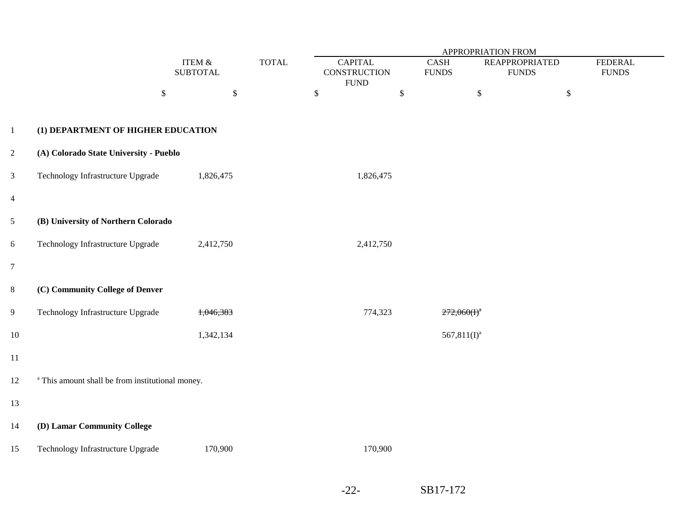|                |                                                             |                              | <b>APPROPRIATION FROM</b> |                                                      |              |                                           |                                       |                                |  |
|----------------|-------------------------------------------------------------|------------------------------|---------------------------|------------------------------------------------------|--------------|-------------------------------------------|---------------------------------------|--------------------------------|--|
|                |                                                             | ITEM $\&$<br><b>SUBTOTAL</b> | <b>TOTAL</b>              | <b>CAPITAL</b><br><b>CONSTRUCTION</b><br><b>FUND</b> |              | $\operatorname{CASH}$<br>${\hbox{FUNDS}}$ | <b>REAPPROPRIATED</b><br><b>FUNDS</b> | <b>FEDERAL</b><br><b>FUNDS</b> |  |
|                | $\boldsymbol{\mathsf{S}}$                                   | $\$$                         |                           | $\boldsymbol{\mathsf{S}}$                            | $\mathbb{S}$ | $\mathbb{S}$                              | $\$$                                  |                                |  |
| $\mathbf{1}$   | (1) DEPARTMENT OF HIGHER EDUCATION                          |                              |                           |                                                      |              |                                           |                                       |                                |  |
| $\sqrt{2}$     | (A) Colorado State University - Pueblo                      |                              |                           |                                                      |              |                                           |                                       |                                |  |
| $\mathfrak{Z}$ | Technology Infrastructure Upgrade                           | 1,826,475                    |                           | 1,826,475                                            |              |                                           |                                       |                                |  |
| $\overline{4}$ |                                                             |                              |                           |                                                      |              |                                           |                                       |                                |  |
| $\mathfrak{S}$ | (B) University of Northern Colorado                         |                              |                           |                                                      |              |                                           |                                       |                                |  |
| $6\,$          | Technology Infrastructure Upgrade                           | 2,412,750                    |                           | 2,412,750                                            |              |                                           |                                       |                                |  |
| $\overline{7}$ |                                                             |                              |                           |                                                      |              |                                           |                                       |                                |  |
| $8\,$          | (C) Community College of Denver                             |                              |                           |                                                      |              |                                           |                                       |                                |  |
| $\overline{9}$ | Technology Infrastructure Upgrade                           | 1,046,383                    |                           | 774,323                                              |              | $272,060(f)^{a}$                          |                                       |                                |  |
| $10\,$         |                                                             | 1,342,134                    |                           |                                                      |              | $567,811(I)^a$                            |                                       |                                |  |
| 11             |                                                             |                              |                           |                                                      |              |                                           |                                       |                                |  |
| $12\,$         | <sup>a</sup> This amount shall be from institutional money. |                              |                           |                                                      |              |                                           |                                       |                                |  |
| 13             |                                                             |                              |                           |                                                      |              |                                           |                                       |                                |  |
| 14             | (D) Lamar Community College                                 |                              |                           |                                                      |              |                                           |                                       |                                |  |
| 15             | Technology Infrastructure Upgrade                           | 170,900                      |                           | 170,900                                              |              |                                           |                                       |                                |  |
|                |                                                             |                              |                           |                                                      |              |                                           |                                       |                                |  |

-22-SB17-172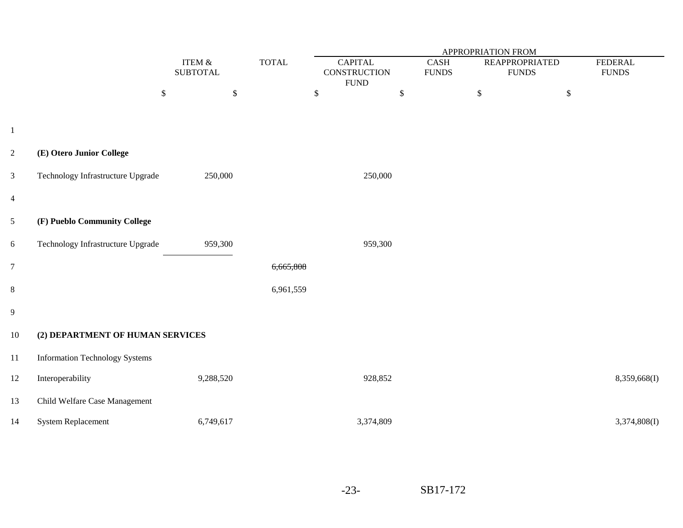|                |                                       |                              |                        | APPROPRIATION FROM                                   |                      |                                       |                                |  |  |  |
|----------------|---------------------------------------|------------------------------|------------------------|------------------------------------------------------|----------------------|---------------------------------------|--------------------------------|--|--|--|
|                |                                       | ITEM $\&$<br><b>SUBTOTAL</b> | $\operatorname{TOTAL}$ | <b>CAPITAL</b><br><b>CONSTRUCTION</b><br><b>FUND</b> | CASH<br><b>FUNDS</b> | <b>REAPPROPRIATED</b><br><b>FUNDS</b> | <b>FEDERAL</b><br><b>FUNDS</b> |  |  |  |
|                | $\$$                                  | $\$\,$                       |                        | $\$\,$                                               | \$                   | $\mathbb{S}$                          | $\$$                           |  |  |  |
|                |                                       |                              |                        |                                                      |                      |                                       |                                |  |  |  |
| $\mathbf{1}$   |                                       |                              |                        |                                                      |                      |                                       |                                |  |  |  |
| $\sqrt{2}$     | (E) Otero Junior College              |                              |                        |                                                      |                      |                                       |                                |  |  |  |
| $\mathfrak{Z}$ | Technology Infrastructure Upgrade     | 250,000                      |                        | 250,000                                              |                      |                                       |                                |  |  |  |
| $\overline{4}$ |                                       |                              |                        |                                                      |                      |                                       |                                |  |  |  |
| $\mathfrak{S}$ | (F) Pueblo Community College          |                              |                        |                                                      |                      |                                       |                                |  |  |  |
| $6\,$          | Technology Infrastructure Upgrade     | 959,300                      |                        | 959,300                                              |                      |                                       |                                |  |  |  |
| $\overline{7}$ |                                       |                              | 6,665,808              |                                                      |                      |                                       |                                |  |  |  |
| $8\,$          |                                       |                              | 6,961,559              |                                                      |                      |                                       |                                |  |  |  |
| 9              |                                       |                              |                        |                                                      |                      |                                       |                                |  |  |  |
| $10\,$         | (2) DEPARTMENT OF HUMAN SERVICES      |                              |                        |                                                      |                      |                                       |                                |  |  |  |
| $11\,$         | <b>Information Technology Systems</b> |                              |                        |                                                      |                      |                                       |                                |  |  |  |
| $12\,$         | Interoperability                      | 9,288,520                    |                        | 928,852                                              |                      |                                       | 8,359,668(I)                   |  |  |  |
| 13             | Child Welfare Case Management         |                              |                        |                                                      |                      |                                       |                                |  |  |  |
| 14             | <b>System Replacement</b>             | 6,749,617                    |                        | 3,374,809                                            |                      |                                       | 3,374,808(I)                   |  |  |  |

-23-SB17-172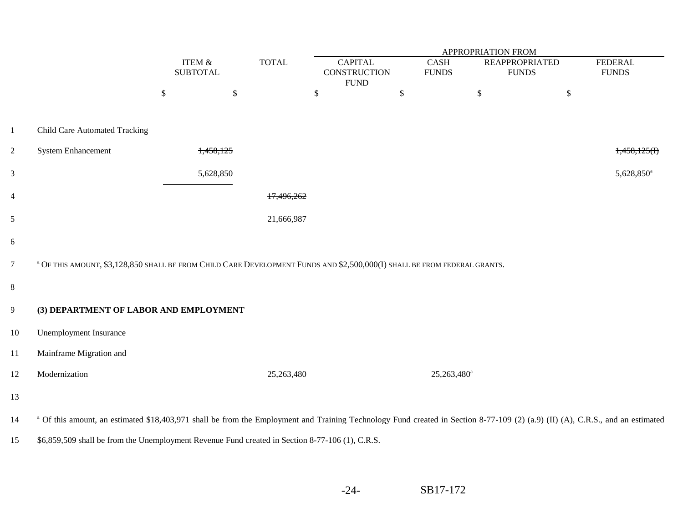|                |                                                                                                                                                                                           |                              |           |              | APPROPRIATION FROM             |    |                             |                                       |                                |  |  |
|----------------|-------------------------------------------------------------------------------------------------------------------------------------------------------------------------------------------|------------------------------|-----------|--------------|--------------------------------|----|-----------------------------|---------------------------------------|--------------------------------|--|--|
|                |                                                                                                                                                                                           | ITEM $\&$<br><b>SUBTOTAL</b> |           | <b>TOTAL</b> | <b>CAPITAL</b><br>CONSTRUCTION |    | <b>CASH</b><br><b>FUNDS</b> | <b>REAPPROPRIATED</b><br><b>FUNDS</b> | <b>FEDERAL</b><br><b>FUNDS</b> |  |  |
|                |                                                                                                                                                                                           | $\$$                         | $\$$      |              | <b>FUND</b><br>$\mathbb{S}$    | \$ | $\$$                        | $\mathbb{S}$                          |                                |  |  |
| $\mathbf{1}$   | <b>Child Care Automated Tracking</b>                                                                                                                                                      |                              |           |              |                                |    |                             |                                       |                                |  |  |
| $\overline{2}$ | <b>System Enhancement</b>                                                                                                                                                                 |                              | 1,458,125 |              |                                |    |                             |                                       | 1,458,125(f)                   |  |  |
| $\mathfrak{Z}$ |                                                                                                                                                                                           |                              | 5,628,850 |              |                                |    |                             |                                       | 5,628,850 <sup>a</sup>         |  |  |
| $\overline{4}$ |                                                                                                                                                                                           |                              |           | 17.496.262   |                                |    |                             |                                       |                                |  |  |
| 5              |                                                                                                                                                                                           |                              |           | 21,666,987   |                                |    |                             |                                       |                                |  |  |
| 6              |                                                                                                                                                                                           |                              |           |              |                                |    |                             |                                       |                                |  |  |
| $\overline{7}$ | <sup>a</sup> OF THIS AMOUNT, \$3,128,850 SHALL BE FROM CHILD CARE DEVELOPMENT FUNDS AND \$2,500,000(I) SHALL BE FROM FEDERAL GRANTS.                                                      |                              |           |              |                                |    |                             |                                       |                                |  |  |
| 8              |                                                                                                                                                                                           |                              |           |              |                                |    |                             |                                       |                                |  |  |
| 9              | (3) DEPARTMENT OF LABOR AND EMPLOYMENT                                                                                                                                                    |                              |           |              |                                |    |                             |                                       |                                |  |  |
| $10\,$         | <b>Unemployment Insurance</b>                                                                                                                                                             |                              |           |              |                                |    |                             |                                       |                                |  |  |
| 11             | Mainframe Migration and                                                                                                                                                                   |                              |           |              |                                |    |                             |                                       |                                |  |  |
| 12             | Modernization                                                                                                                                                                             |                              |           | 25,263,480   |                                |    | 25,263,480 <sup>a</sup>     |                                       |                                |  |  |
| 13             |                                                                                                                                                                                           |                              |           |              |                                |    |                             |                                       |                                |  |  |
| 14             | <sup>a</sup> Of this amount, an estimated \$18,403,971 shall be from the Employment and Training Technology Fund created in Section 8-77-109 (2) (a.9) (II) (A), C.R.S., and an estimated |                              |           |              |                                |    |                             |                                       |                                |  |  |
| 15             | \$6,859,509 shall be from the Unemployment Revenue Fund created in Section 8-77-106 (1), C.R.S.                                                                                           |                              |           |              |                                |    |                             |                                       |                                |  |  |

-24-SB17-172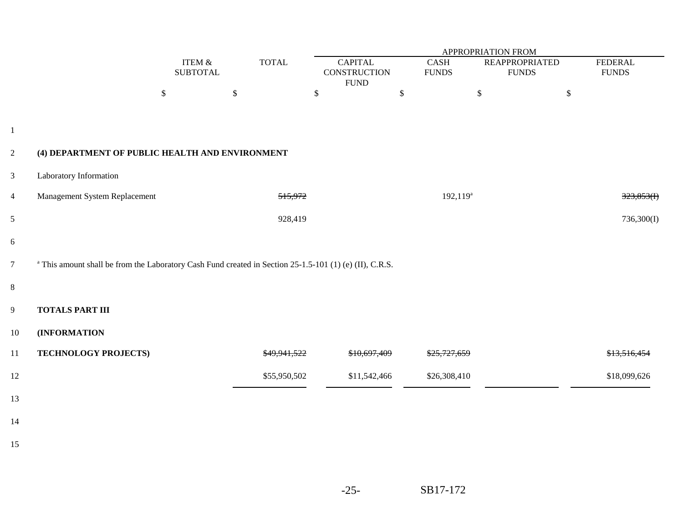|                |                                                                                                                    |                           |                         | APPROPRIATION FROM                                    |                             |                                       |                                |  |  |  |
|----------------|--------------------------------------------------------------------------------------------------------------------|---------------------------|-------------------------|-------------------------------------------------------|-----------------------------|---------------------------------------|--------------------------------|--|--|--|
|                |                                                                                                                    | ITEM &<br><b>SUBTOTAL</b> | <b>TOTAL</b>            | <b>CAPITAL</b><br><b>CONSTRUCTION</b><br>${\rm FUND}$ | <b>CASH</b><br><b>FUNDS</b> | <b>REAPPROPRIATED</b><br><b>FUNDS</b> | <b>FEDERAL</b><br><b>FUNDS</b> |  |  |  |
|                |                                                                                                                    | $\$$                      | $\$$                    | $\$\,$                                                | $\mathbb{S}$                | $\$$<br>$\mathbb{S}$                  |                                |  |  |  |
| $\mathbf{1}$   |                                                                                                                    |                           |                         |                                                       |                             |                                       |                                |  |  |  |
| $\overline{c}$ | (4) DEPARTMENT OF PUBLIC HEALTH AND ENVIRONMENT                                                                    |                           |                         |                                                       |                             |                                       |                                |  |  |  |
| $\mathfrak{Z}$ | Laboratory Information                                                                                             |                           |                         |                                                       |                             |                                       |                                |  |  |  |
| $\overline{4}$ | Management System Replacement                                                                                      |                           | 515,972                 |                                                       | 192,119 <sup>a</sup>        |                                       | 323,853(f)                     |  |  |  |
| 5              |                                                                                                                    |                           | 928,419                 |                                                       |                             |                                       | 736,300(I)                     |  |  |  |
| 6              |                                                                                                                    |                           |                         |                                                       |                             |                                       |                                |  |  |  |
| $\overline{7}$ | <sup>a</sup> This amount shall be from the Laboratory Cash Fund created in Section 25-1.5-101 (1) (e) (II), C.R.S. |                           |                         |                                                       |                             |                                       |                                |  |  |  |
| 8              |                                                                                                                    |                           |                         |                                                       |                             |                                       |                                |  |  |  |
| 9              | <b>TOTALS PART III</b>                                                                                             |                           |                         |                                                       |                             |                                       |                                |  |  |  |
| $10\,$         | (INFORMATION                                                                                                       |                           |                         |                                                       |                             |                                       |                                |  |  |  |
| 11             | TECHNOLOGY PROJECTS)                                                                                               |                           | <del>\$49.941.522</del> | \$10,697,409                                          |                             |                                       | <del>\$13,516,454</del>        |  |  |  |
| $12\,$         |                                                                                                                    |                           | \$55,950,502            | \$11,542,466                                          | \$26,308,410                |                                       | \$18,099,626                   |  |  |  |
| 13             |                                                                                                                    |                           |                         |                                                       |                             |                                       |                                |  |  |  |
| 14             |                                                                                                                    |                           |                         |                                                       |                             |                                       |                                |  |  |  |
| 15             |                                                                                                                    |                           |                         |                                                       |                             |                                       |                                |  |  |  |
|                |                                                                                                                    |                           |                         |                                                       |                             |                                       |                                |  |  |  |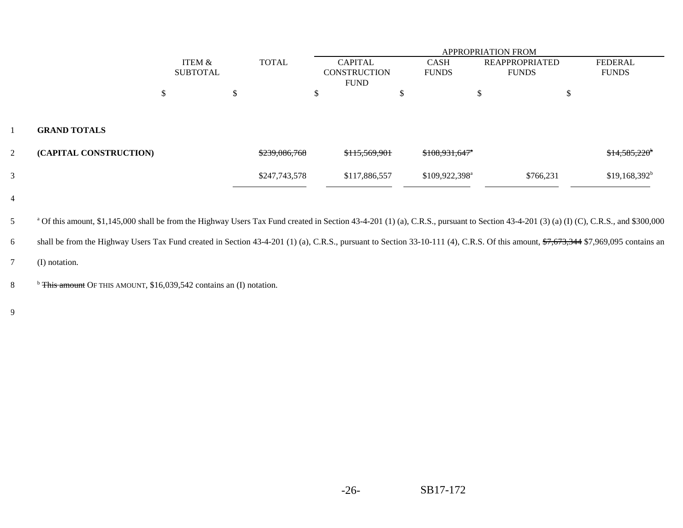|                |                        |                 | <b>APPROPRIATION FROM</b> |               |   |                     |  |                             |                       |   |                       |
|----------------|------------------------|-----------------|---------------------------|---------------|---|---------------------|--|-----------------------------|-----------------------|---|-----------------------|
|                |                        | ITEM &          |                           | <b>TOTAL</b>  |   | <b>CAPITAL</b>      |  | <b>CASH</b>                 | <b>REAPPROPRIATED</b> |   | <b>FEDERAL</b>        |
|                |                        | <b>SUBTOTAL</b> |                           |               |   | <b>CONSTRUCTION</b> |  | <b>FUNDS</b>                | <b>FUNDS</b>          |   | <b>FUNDS</b>          |
|                |                        |                 |                           |               |   | <b>FUND</b>         |  |                             |                       |   |                       |
|                |                        | ۰Π.             | ĴЪ.                       |               | D |                     |  |                             | ъD                    | D |                       |
|                |                        |                 |                           |               |   |                     |  |                             |                       |   |                       |
|                | <b>GRAND TOTALS</b>    |                 |                           |               |   |                     |  |                             |                       |   |                       |
| $\overline{2}$ | (CAPITAL CONSTRUCTION) |                 |                           | \$239,086,768 |   | \$115,569,901       |  | $$108,931,647$ <sup>*</sup> |                       |   | $$14,585,220^{\circ}$ |
| 3              |                        |                 |                           | \$247,743,578 |   | \$117,886,557       |  | \$109,922,398 <sup>a</sup>  | \$766,231             |   | $$19,168,392^b$       |
|                |                        |                 |                           |               |   |                     |  |                             |                       |   |                       |

 $\beta$   $\alpha$   $\beta$  of this amount, \$1,145,000 shall be from the Highway Users Tax Fund created in Section 43-4-201 (1) (a), C.R.S., pursuant to Section 43-4-201 (3) (a) (I) (C), C.R.S., and \$300,000

6shall be from the Highway Users Tax Fund created in Section 43-4-201 (1) (a), C.R.S., pursuant to Section 33-10-111 (4), C.R.S. Of this amount, \$7,673,344 \$7,969,095 contains an

7(I) notation.

<sup>b</sup> This amount OF THIS AMOUNT, \$16,039,542 contains an (I) notation.

9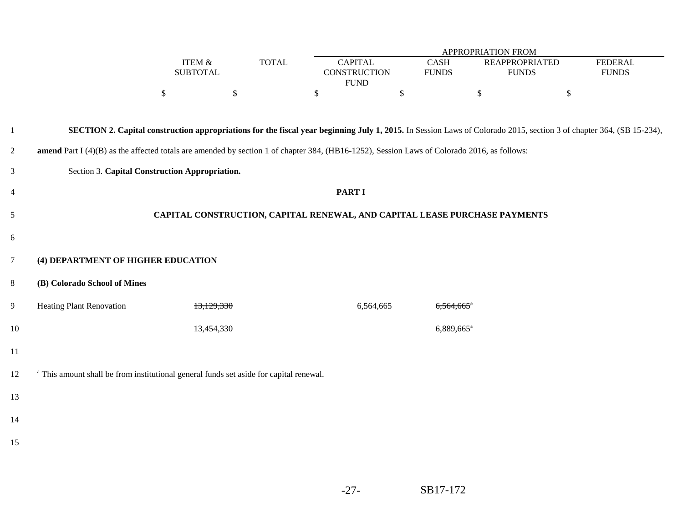|                |                                                                                                                                             |                              |              |                                                                                                                                                                            |                             | APPROPRIATION FROM     |                                       |                                |  |
|----------------|---------------------------------------------------------------------------------------------------------------------------------------------|------------------------------|--------------|----------------------------------------------------------------------------------------------------------------------------------------------------------------------------|-----------------------------|------------------------|---------------------------------------|--------------------------------|--|
|                |                                                                                                                                             | ITEM $\&$<br><b>SUBTOTAL</b> | <b>TOTAL</b> | <b>CAPITAL</b><br><b>CONSTRUCTION</b><br><b>FUND</b>                                                                                                                       | <b>CASH</b><br><b>FUNDS</b> |                        | <b>REAPPROPRIATED</b><br><b>FUNDS</b> | <b>FEDERAL</b><br><b>FUNDS</b> |  |
|                |                                                                                                                                             | $\$$                         | $\$$         | \$                                                                                                                                                                         | $\$$                        | \$                     | $\$$                                  |                                |  |
|                |                                                                                                                                             |                              |              |                                                                                                                                                                            |                             |                        |                                       |                                |  |
| $\mathbf{1}$   |                                                                                                                                             |                              |              | <b>SECTION 2. Capital construction appropriations for the fiscal year beginning July 1, 2015.</b> In Session Laws of Colorado 2015, section 3 of chapter 364, (SB 15-234), |                             |                        |                                       |                                |  |
| $\overline{c}$ | amend Part I (4)(B) as the affected totals are amended by section 1 of chapter 384, (HB16-1252), Session Laws of Colorado 2016, as follows: |                              |              |                                                                                                                                                                            |                             |                        |                                       |                                |  |
| $\mathfrak{Z}$ | Section 3. Capital Construction Appropriation.                                                                                              |                              |              |                                                                                                                                                                            |                             |                        |                                       |                                |  |
| $\overline{4}$ |                                                                                                                                             |                              |              | <b>PART I</b>                                                                                                                                                              |                             |                        |                                       |                                |  |
| $\mathfrak{S}$ | CAPITAL CONSTRUCTION, CAPITAL RENEWAL, AND CAPITAL LEASE PURCHASE PAYMENTS                                                                  |                              |              |                                                                                                                                                                            |                             |                        |                                       |                                |  |
| 6              |                                                                                                                                             |                              |              |                                                                                                                                                                            |                             |                        |                                       |                                |  |
| $\overline{7}$ | (4) DEPARTMENT OF HIGHER EDUCATION                                                                                                          |                              |              |                                                                                                                                                                            |                             |                        |                                       |                                |  |
| $\,8\,$        | (B) Colorado School of Mines                                                                                                                |                              |              |                                                                                                                                                                            |                             |                        |                                       |                                |  |
| 9              | <b>Heating Plant Renovation</b>                                                                                                             |                              | 13,129,330   | 6,564,665                                                                                                                                                                  |                             | 6,564,665 <sup>*</sup> |                                       |                                |  |
| 10             |                                                                                                                                             |                              | 13,454,330   |                                                                                                                                                                            |                             | 6,889,665 <sup>a</sup> |                                       |                                |  |
| 11             |                                                                                                                                             |                              |              |                                                                                                                                                                            |                             |                        |                                       |                                |  |
| 12             | <sup>a</sup> This amount shall be from institutional general funds set aside for capital renewal.                                           |                              |              |                                                                                                                                                                            |                             |                        |                                       |                                |  |
| 13             |                                                                                                                                             |                              |              |                                                                                                                                                                            |                             |                        |                                       |                                |  |
| 14             |                                                                                                                                             |                              |              |                                                                                                                                                                            |                             |                        |                                       |                                |  |
| 15             |                                                                                                                                             |                              |              |                                                                                                                                                                            |                             |                        |                                       |                                |  |
|                |                                                                                                                                             |                              |              |                                                                                                                                                                            |                             |                        |                                       |                                |  |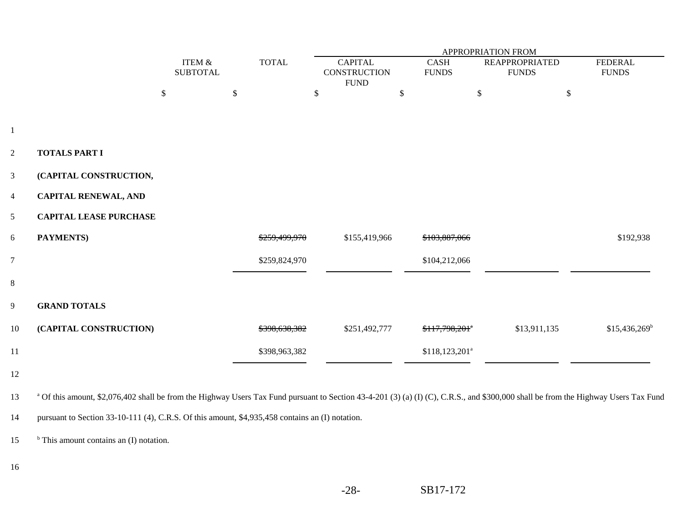|                |                                                                                                                                                                                     |                           |    |               | APPROPRIATION FROM                    |    |                             |                                       |                                |  |
|----------------|-------------------------------------------------------------------------------------------------------------------------------------------------------------------------------------|---------------------------|----|---------------|---------------------------------------|----|-----------------------------|---------------------------------------|--------------------------------|--|
|                |                                                                                                                                                                                     | ITEM &<br><b>SUBTOTAL</b> |    | <b>TOTAL</b>  | <b>CAPITAL</b><br><b>CONSTRUCTION</b> |    | <b>CASH</b><br><b>FUNDS</b> | <b>REAPPROPRIATED</b><br><b>FUNDS</b> | <b>FEDERAL</b><br><b>FUNDS</b> |  |
|                |                                                                                                                                                                                     |                           |    |               | ${\rm FUND}$                          |    |                             |                                       |                                |  |
|                |                                                                                                                                                                                     | \$                        | \$ |               | \$                                    | \$ |                             | $\mathbb{S}$                          | \$                             |  |
|                |                                                                                                                                                                                     |                           |    |               |                                       |    |                             |                                       |                                |  |
| $\mathbf{1}$   |                                                                                                                                                                                     |                           |    |               |                                       |    |                             |                                       |                                |  |
| $\overline{2}$ | <b>TOTALS PART I</b>                                                                                                                                                                |                           |    |               |                                       |    |                             |                                       |                                |  |
| $\mathbf{3}$   | (CAPITAL CONSTRUCTION,                                                                                                                                                              |                           |    |               |                                       |    |                             |                                       |                                |  |
| $\overline{4}$ | <b>CAPITAL RENEWAL, AND</b>                                                                                                                                                         |                           |    |               |                                       |    |                             |                                       |                                |  |
| 5              | <b>CAPITAL LEASE PURCHASE</b>                                                                                                                                                       |                           |    |               |                                       |    |                             |                                       |                                |  |
| 6              | <b>PAYMENTS</b> )                                                                                                                                                                   |                           |    | \$259,499,970 | \$155,419,966                         |    | \$103,887,066               |                                       | \$192,938                      |  |
| $\overline{7}$ |                                                                                                                                                                                     |                           |    | \$259,824,970 |                                       |    | \$104,212,066               |                                       |                                |  |
| 8              |                                                                                                                                                                                     |                           |    |               |                                       |    |                             |                                       |                                |  |
| 9              | <b>GRAND TOTALS</b>                                                                                                                                                                 |                           |    |               |                                       |    |                             |                                       |                                |  |
| 10             | (CAPITAL CONSTRUCTION)                                                                                                                                                              |                           |    | \$398,638,382 | \$251,492,777                         |    | \$117,798,201 <sup>a</sup>  | \$13,911,135                          | $$15,436,269^b$                |  |
| 11             |                                                                                                                                                                                     |                           |    | \$398,963,382 |                                       |    | $$118, 123, 201^a$          |                                       |                                |  |
| 12             |                                                                                                                                                                                     |                           |    |               |                                       |    |                             |                                       |                                |  |
| 13             | a Of this amount, \$2,076,402 shall be from the Highway Users Tax Fund pursuant to Section 43-4-201 (3) (a) (I) (C), C.R.S., and \$300,000 shall be from the Highway Users Tax Fund |                           |    |               |                                       |    |                             |                                       |                                |  |

14pursuant to Section 33-10-111 (4), C.R.S. Of this amount, \$4,935,458 contains an (I) notation.

 $15$  b This amount contains an (I) notation.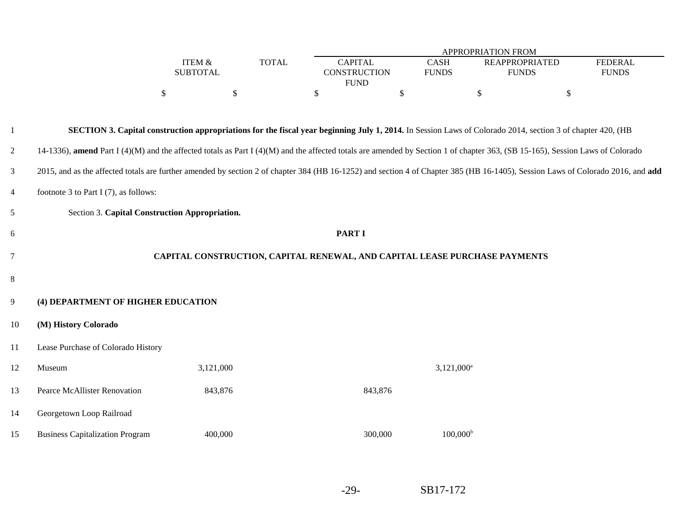|                |                                                                                                                                                                                 |                   |    |              | APPROPRIATION FROM  |              |                                                                                                                                                                   |                           |  |  |
|----------------|---------------------------------------------------------------------------------------------------------------------------------------------------------------------------------|-------------------|----|--------------|---------------------|--------------|-------------------------------------------------------------------------------------------------------------------------------------------------------------------|---------------------------|--|--|
|                |                                                                                                                                                                                 | <b>ITEM &amp;</b> |    | <b>TOTAL</b> | <b>CAPITAL</b>      | <b>CASH</b>  | <b>REAPPROPRIATED</b>                                                                                                                                             | <b>FEDERAL</b>            |  |  |
|                |                                                                                                                                                                                 | <b>SUBTOTAL</b>   |    |              | <b>CONSTRUCTION</b> | <b>FUNDS</b> | <b>FUNDS</b>                                                                                                                                                      | <b>FUNDS</b>              |  |  |
|                |                                                                                                                                                                                 |                   |    |              | <b>FUND</b>         |              |                                                                                                                                                                   |                           |  |  |
|                |                                                                                                                                                                                 | \$                | S. |              | \$                  | \$           | \$                                                                                                                                                                | $\boldsymbol{\mathsf{S}}$ |  |  |
|                |                                                                                                                                                                                 |                   |    |              |                     |              |                                                                                                                                                                   |                           |  |  |
|                |                                                                                                                                                                                 |                   |    |              |                     |              | <b>SECTION 3. Capital construction appropriations for the fiscal year beginning July 1, 2014.</b> In Session Laws of Colorado 2014, section 3 of chapter 420, (HB |                           |  |  |
|                |                                                                                                                                                                                 |                   |    |              |                     |              |                                                                                                                                                                   |                           |  |  |
| $\overline{2}$ | 14-1336), amend Part I (4)(M) and the affected totals as Part I (4)(M) and the affected totals are amended by Section 1 of chapter 363, (SB 15-165), Session Laws of Colorado   |                   |    |              |                     |              |                                                                                                                                                                   |                           |  |  |
|                |                                                                                                                                                                                 |                   |    |              |                     |              |                                                                                                                                                                   |                           |  |  |
| $\mathbf{3}$   | 2015, and as the affected totals are further amended by section 2 of chapter 384 (HB 16-1252) and section 4 of Chapter 385 (HB 16-1405), Session Laws of Colorado 2016, and add |                   |    |              |                     |              |                                                                                                                                                                   |                           |  |  |
| $\overline{4}$ | footnote 3 to Part I $(7)$ , as follows:                                                                                                                                        |                   |    |              |                     |              |                                                                                                                                                                   |                           |  |  |
| 5              | Section 3. Capital Construction Appropriation.                                                                                                                                  |                   |    |              |                     |              |                                                                                                                                                                   |                           |  |  |
| 6              |                                                                                                                                                                                 |                   |    |              | <b>PART I</b>       |              |                                                                                                                                                                   |                           |  |  |
|                |                                                                                                                                                                                 |                   |    |              |                     |              |                                                                                                                                                                   |                           |  |  |
| 7              |                                                                                                                                                                                 |                   |    |              |                     |              | CAPITAL CONSTRUCTION, CAPITAL RENEWAL, AND CAPITAL LEASE PURCHASE PAYMENTS                                                                                        |                           |  |  |
|                |                                                                                                                                                                                 |                   |    |              |                     |              |                                                                                                                                                                   |                           |  |  |
| 8              |                                                                                                                                                                                 |                   |    |              |                     |              |                                                                                                                                                                   |                           |  |  |
| 9              | (4) DEPARTMENT OF HIGHER EDUCATION                                                                                                                                              |                   |    |              |                     |              |                                                                                                                                                                   |                           |  |  |
|                |                                                                                                                                                                                 |                   |    |              |                     |              |                                                                                                                                                                   |                           |  |  |

#### 10**(M) History Colorado**

11Lease Purchase of Colorado History

| 12 | Museum                                 | 3,121,000 |         | $3,121,000^a$     |
|----|----------------------------------------|-----------|---------|-------------------|
| 13 | Pearce McAllister Renovation           | 843,876   | 843,876 |                   |
| 14 | Georgetown Loop Railroad               |           |         |                   |
| 15 | <b>Business Capitalization Program</b> | 400,000   | 300,000 | $100,000^{\rm b}$ |

-29-SB17-172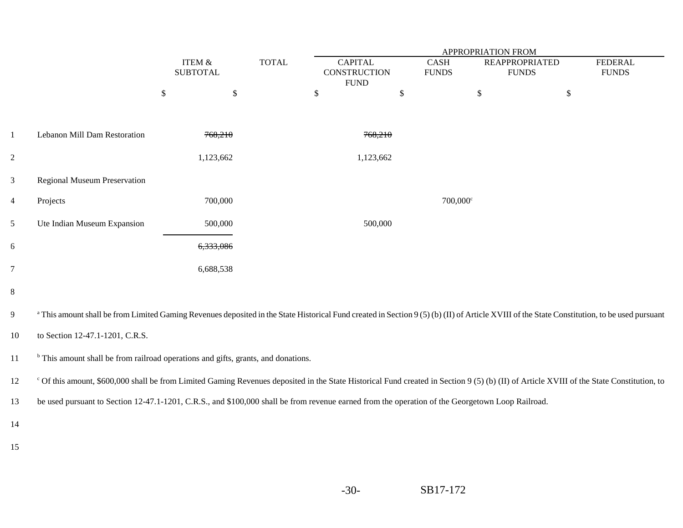|                |                                                                                                                                                                                                         | <b>APPROPRIATION FROM</b> |              |                                                      |              |                             |                                       |                                |
|----------------|---------------------------------------------------------------------------------------------------------------------------------------------------------------------------------------------------------|---------------------------|--------------|------------------------------------------------------|--------------|-----------------------------|---------------------------------------|--------------------------------|
|                |                                                                                                                                                                                                         | ITEM &<br><b>SUBTOTAL</b> | <b>TOTAL</b> | <b>CAPITAL</b><br><b>CONSTRUCTION</b><br><b>FUND</b> |              | <b>CASH</b><br><b>FUNDS</b> | <b>REAPPROPRIATED</b><br><b>FUNDS</b> | <b>FEDERAL</b><br><b>FUNDS</b> |
|                |                                                                                                                                                                                                         | \$<br>\$                  |              | \$                                                   | $\mathbb{S}$ | $\$\,$                      | \$                                    |                                |
|                |                                                                                                                                                                                                         |                           |              |                                                      |              |                             |                                       |                                |
| $\mathbf{1}$   | Lebanon Mill Dam Restoration                                                                                                                                                                            | 768,210                   |              | 768,210                                              |              |                             |                                       |                                |
| $\overline{2}$ |                                                                                                                                                                                                         | 1,123,662                 |              | 1,123,662                                            |              |                             |                                       |                                |
| $\mathfrak{Z}$ | Regional Museum Preservation                                                                                                                                                                            |                           |              |                                                      |              |                             |                                       |                                |
| $\overline{4}$ | Projects                                                                                                                                                                                                | 700,000                   |              |                                                      |              | $700,000$ c                 |                                       |                                |
| 5              | Ute Indian Museum Expansion                                                                                                                                                                             | 500,000                   |              | 500,000                                              |              |                             |                                       |                                |
| 6              |                                                                                                                                                                                                         | 6,333,086                 |              |                                                      |              |                             |                                       |                                |
| $\overline{7}$ |                                                                                                                                                                                                         | 6,688,538                 |              |                                                      |              |                             |                                       |                                |
| $\,8\,$        |                                                                                                                                                                                                         |                           |              |                                                      |              |                             |                                       |                                |
| 9              | <sup>a</sup> This amount shall be from Limited Gaming Revenues deposited in the State Historical Fund created in Section 9 (5) (b) (II) of Article XVIII of the State Constitution, to be used pursuant |                           |              |                                                      |              |                             |                                       |                                |
| 10             | to Section 12-47.1-1201, C.R.S.                                                                                                                                                                         |                           |              |                                                      |              |                             |                                       |                                |
| 11             | <sup>b</sup> This amount shall be from railroad operations and gifts, grants, and donations.                                                                                                            |                           |              |                                                      |              |                             |                                       |                                |
| 12             | ° Of this amount, \$600,000 shall be from Limited Gaming Revenues deposited in the State Historical Fund created in Section 9 (5) (b) (II) of Article XVIII of the State Constitution, to               |                           |              |                                                      |              |                             |                                       |                                |
| 13             | be used pursuant to Section 12-47.1-1201, C.R.S., and \$100,000 shall be from revenue earned from the operation of the Georgetown Loop Railroad.                                                        |                           |              |                                                      |              |                             |                                       |                                |
| 14             |                                                                                                                                                                                                         |                           |              |                                                      |              |                             |                                       |                                |
| 15             |                                                                                                                                                                                                         |                           |              |                                                      |              |                             |                                       |                                |
|                |                                                                                                                                                                                                         |                           |              |                                                      |              |                             |                                       |                                |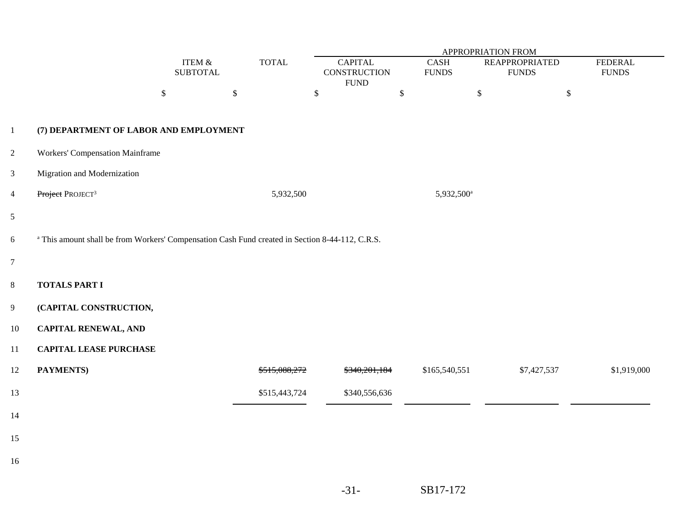|                |                                                                                                            |                              |               |               | <b>APPROPRIATION FROM</b>                             |                        |                                       |                                |  |  |
|----------------|------------------------------------------------------------------------------------------------------------|------------------------------|---------------|---------------|-------------------------------------------------------|------------------------|---------------------------------------|--------------------------------|--|--|
|                |                                                                                                            | ITEM $\&$<br><b>SUBTOTAL</b> |               | <b>TOTAL</b>  | <b>CAPITAL</b><br><b>CONSTRUCTION</b><br>${\rm FUND}$ | CASH<br><b>FUNDS</b>   | <b>REAPPROPRIATED</b><br><b>FUNDS</b> | <b>FEDERAL</b><br><b>FUNDS</b> |  |  |
|                |                                                                                                            | $\mathbb{S}$                 | $\mathcal{S}$ | $\mathbb{S}$  |                                                       | $\mathbb{S}$           | $\mathbb{S}$<br>$\mathbb{S}$          |                                |  |  |
| $\mathbf{1}$   | (7) DEPARTMENT OF LABOR AND EMPLOYMENT                                                                     |                              |               |               |                                                       |                        |                                       |                                |  |  |
| $\overline{2}$ | <b>Workers' Compensation Mainframe</b>                                                                     |                              |               |               |                                                       |                        |                                       |                                |  |  |
| $\mathfrak{Z}$ | Migration and Modernization                                                                                |                              |               |               |                                                       |                        |                                       |                                |  |  |
| $\overline{4}$ | Project PROJECT <sup>3</sup>                                                                               |                              |               | 5,932,500     |                                                       | 5,932,500 <sup>a</sup> |                                       |                                |  |  |
| $\mathfrak{S}$ |                                                                                                            |                              |               |               |                                                       |                        |                                       |                                |  |  |
| 6              | <sup>a</sup> This amount shall be from Workers' Compensation Cash Fund created in Section 8-44-112, C.R.S. |                              |               |               |                                                       |                        |                                       |                                |  |  |
| $\overline{7}$ |                                                                                                            |                              |               |               |                                                       |                        |                                       |                                |  |  |
| $8\,$          | <b>TOTALS PART I</b>                                                                                       |                              |               |               |                                                       |                        |                                       |                                |  |  |
| $\overline{9}$ | (CAPITAL CONSTRUCTION,                                                                                     |                              |               |               |                                                       |                        |                                       |                                |  |  |
| 10             | <b>CAPITAL RENEWAL, AND</b>                                                                                |                              |               |               |                                                       |                        |                                       |                                |  |  |
| 11             | <b>CAPITAL LEASE PURCHASE</b>                                                                              |                              |               |               |                                                       |                        |                                       |                                |  |  |
| 12             | PAYMENTS)                                                                                                  |                              |               | \$515,088,272 | \$340,201,184                                         | \$165,540,551          | \$7,427,537                           | \$1,919,000                    |  |  |
| 13             |                                                                                                            |                              |               | \$515,443,724 | \$340,556,636                                         |                        |                                       |                                |  |  |
| 14             |                                                                                                            |                              |               |               |                                                       |                        |                                       |                                |  |  |
| 15             |                                                                                                            |                              |               |               |                                                       |                        |                                       |                                |  |  |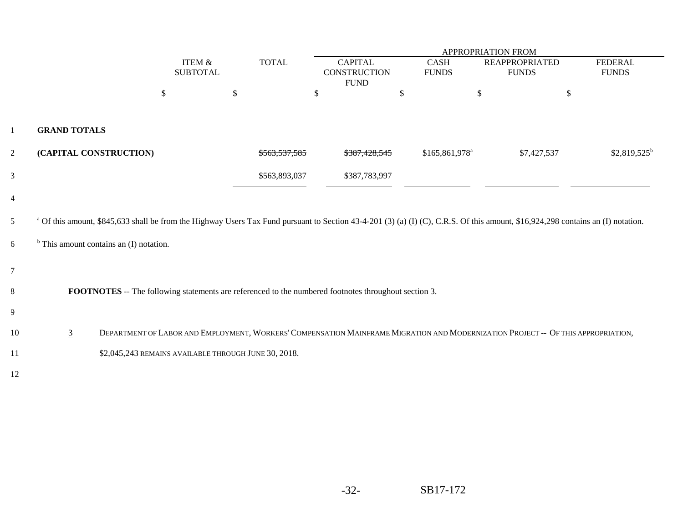|                  |                     |                                                                                                                                                                                             |    |                          | APPROPRIATION FROM                    |                             |                                       |                                |  |  |
|------------------|---------------------|---------------------------------------------------------------------------------------------------------------------------------------------------------------------------------------------|----|--------------------------|---------------------------------------|-----------------------------|---------------------------------------|--------------------------------|--|--|
|                  |                     | ITEM &<br><b>SUBTOTAL</b>                                                                                                                                                                   |    | <b>TOTAL</b>             | <b>CAPITAL</b><br><b>CONSTRUCTION</b> | <b>CASH</b><br><b>FUNDS</b> | <b>REAPPROPRIATED</b><br><b>FUNDS</b> | <b>FEDERAL</b><br><b>FUNDS</b> |  |  |
|                  |                     |                                                                                                                                                                                             |    |                          | <b>FUND</b>                           |                             |                                       |                                |  |  |
|                  |                     | \$                                                                                                                                                                                          | \$ |                          | \$                                    | \$                          | \$                                    | \$                             |  |  |
|                  |                     |                                                                                                                                                                                             |    |                          |                                       |                             |                                       |                                |  |  |
| 1                | <b>GRAND TOTALS</b> |                                                                                                                                                                                             |    |                          |                                       |                             |                                       |                                |  |  |
| $\overline{2}$   |                     | (CAPITAL CONSTRUCTION)                                                                                                                                                                      |    | <del>\$563.537.585</del> | <del>\$387.428.545</del>              | \$165,861,978 <sup>a</sup>  | \$7,427,537                           | $$2,819,525$ <sup>b</sup>      |  |  |
| 3                |                     |                                                                                                                                                                                             |    | \$563,893,037            | \$387,783,997                         |                             |                                       |                                |  |  |
| $\overline{4}$   |                     |                                                                                                                                                                                             |    |                          |                                       |                             |                                       |                                |  |  |
| 5                |                     | <sup>a</sup> Of this amount, \$845,633 shall be from the Highway Users Tax Fund pursuant to Section 43-4-201 (3) (a) (I) (C), C.R.S. Of this amount, \$16,924,298 contains an (I) notation. |    |                          |                                       |                             |                                       |                                |  |  |
| 6                |                     | $b$ This amount contains an (I) notation.                                                                                                                                                   |    |                          |                                       |                             |                                       |                                |  |  |
| $\boldsymbol{7}$ |                     |                                                                                                                                                                                             |    |                          |                                       |                             |                                       |                                |  |  |
| 8                |                     | <b>FOOTNOTES</b> -- The following statements are referenced to the numbered footnotes throughout section 3.                                                                                 |    |                          |                                       |                             |                                       |                                |  |  |
| 9                |                     |                                                                                                                                                                                             |    |                          |                                       |                             |                                       |                                |  |  |
| 10               | $\overline{3}$      | DEPARTMENT OF LABOR AND EMPLOYMENT, WORKERS' COMPENSATION MAINFRAME MIGRATION AND MODERNIZATION PROJECT -- OF THIS APPROPRIATION,                                                           |    |                          |                                       |                             |                                       |                                |  |  |
| 11               |                     | \$2,045,243 REMAINS AVAILABLE THROUGH JUNE 30, 2018.                                                                                                                                        |    |                          |                                       |                             |                                       |                                |  |  |
| 12               |                     |                                                                                                                                                                                             |    |                          |                                       |                             |                                       |                                |  |  |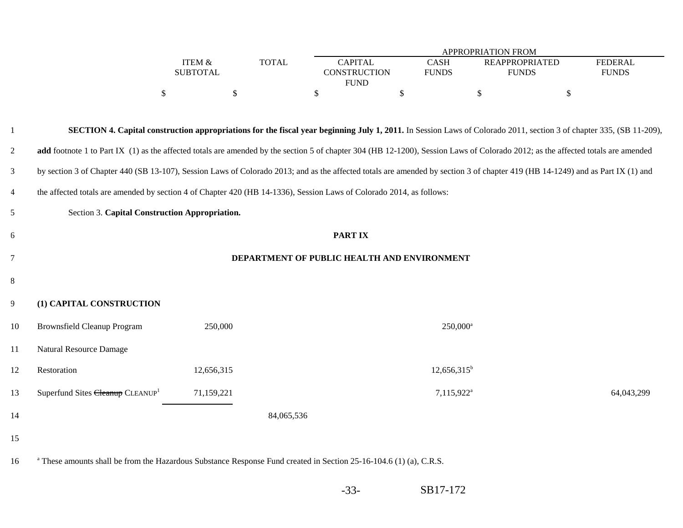|                  |              |                     |              | <b>APPROPRIATION FROM</b> |              |
|------------------|--------------|---------------------|--------------|---------------------------|--------------|
| <b>TEM &amp;</b> | <b>TOTAL</b> | CAPITAL             | CASH         | REAPPROPRIATED            | FEDERAL      |
| SUBTOTAL         |              | <b>CONSTRUCTION</b> | <b>FUNDS</b> | FUNDS                     | <b>FUNDS</b> |
|                  |              | <b>FUND</b>         |              |                           |              |
|                  |              |                     |              |                           |              |

| -1             |                                                                                                                                                                                |            | <b>SECTION 4. Capital construction appropriations for the fiscal year beginning July 1, 2011.</b> In Session Laws of Colorado 2011, section 3 of chapter 335, (SB 11-209),       |            |  |  |  |  |
|----------------|--------------------------------------------------------------------------------------------------------------------------------------------------------------------------------|------------|----------------------------------------------------------------------------------------------------------------------------------------------------------------------------------|------------|--|--|--|--|
| 2              |                                                                                                                                                                                |            | add footnote 1 to Part IX (1) as the affected totals are amended by the section 5 of chapter 304 (HB 12-1200), Session Laws of Colorado 2012; as the affected totals are amended |            |  |  |  |  |
| $\mathfrak{Z}$ | by section 3 of Chapter 440 (SB 13-107), Session Laws of Colorado 2013; and as the affected totals are amended by section 3 of chapter 419 (HB 14-1249) and as Part IX (1) and |            |                                                                                                                                                                                  |            |  |  |  |  |
| $\overline{4}$ | the affected totals are amended by section 4 of Chapter 420 (HB 14-1336), Session Laws of Colorado 2014, as follows:                                                           |            |                                                                                                                                                                                  |            |  |  |  |  |
| $\mathfrak{S}$ | Section 3. Capital Construction Appropriation.                                                                                                                                 |            |                                                                                                                                                                                  |            |  |  |  |  |
| 6              | <b>PARTIX</b>                                                                                                                                                                  |            |                                                                                                                                                                                  |            |  |  |  |  |
| $\overline{7}$ | DEPARTMENT OF PUBLIC HEALTH AND ENVIRONMENT                                                                                                                                    |            |                                                                                                                                                                                  |            |  |  |  |  |
| 8              |                                                                                                                                                                                |            |                                                                                                                                                                                  |            |  |  |  |  |
| 9              | (1) CAPITAL CONSTRUCTION                                                                                                                                                       |            |                                                                                                                                                                                  |            |  |  |  |  |
| 10             | <b>Brownsfield Cleanup Program</b>                                                                                                                                             | 250,000    | 250,000 <sup>a</sup>                                                                                                                                                             |            |  |  |  |  |
| 11             | Natural Resource Damage                                                                                                                                                        |            |                                                                                                                                                                                  |            |  |  |  |  |
| 12             | Restoration                                                                                                                                                                    | 12,656,315 | $12,656,315^b$                                                                                                                                                                   |            |  |  |  |  |
| 13             | Superfund Sites Cleanup CLEANUP <sup>1</sup>                                                                                                                                   | 71,159,221 | 7,115,922 <sup>a</sup>                                                                                                                                                           | 64,043,299 |  |  |  |  |
| 14             |                                                                                                                                                                                |            | 84,065,536                                                                                                                                                                       |            |  |  |  |  |
| 15             |                                                                                                                                                                                |            |                                                                                                                                                                                  |            |  |  |  |  |

16 These amounts shall be from the Hazardous Substance Response Fund created in Section 25-16-104.6 (1) (a), C.R.S.

-33-SB17-172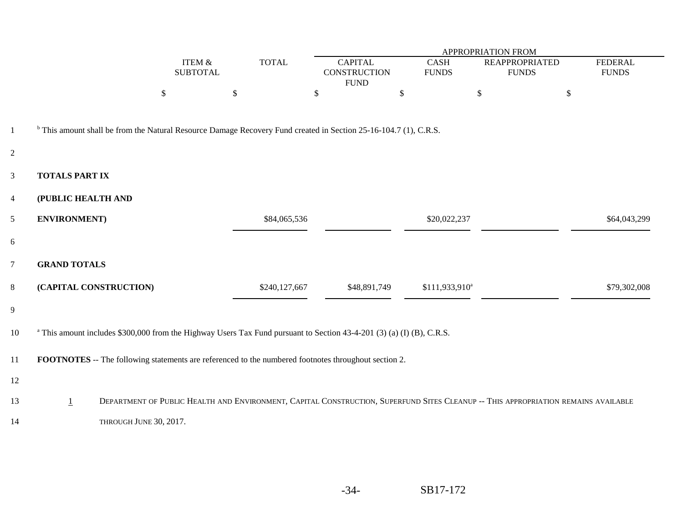|                |                       |                        | APPROPRIATION FROM                   |               |                                                                                                                                  |                             |                                                                                                                                    |                                |
|----------------|-----------------------|------------------------|--------------------------------------|---------------|----------------------------------------------------------------------------------------------------------------------------------|-----------------------------|------------------------------------------------------------------------------------------------------------------------------------|--------------------------------|
|                |                       |                        | <b>ITEM &amp;</b><br><b>SUBTOTAL</b> | <b>TOTAL</b>  | <b>CAPITAL</b><br><b>CONSTRUCTION</b>                                                                                            | <b>CASH</b><br><b>FUNDS</b> | <b>REAPPROPRIATED</b><br><b>FUNDS</b>                                                                                              | <b>FEDERAL</b><br><b>FUNDS</b> |
|                |                       |                        |                                      |               | <b>FUND</b>                                                                                                                      |                             |                                                                                                                                    |                                |
|                |                       | \$                     | \$                                   |               | \$                                                                                                                               | \$                          | $\$\,$                                                                                                                             | \$                             |
|                |                       |                        |                                      |               |                                                                                                                                  |                             |                                                                                                                                    |                                |
| $\mathbf{1}$   |                       |                        |                                      |               | <sup>b</sup> This amount shall be from the Natural Resource Damage Recovery Fund created in Section 25-16-104.7 (1), C.R.S.      |                             |                                                                                                                                    |                                |
| 2              |                       |                        |                                      |               |                                                                                                                                  |                             |                                                                                                                                    |                                |
| $\mathbf{3}$   | <b>TOTALS PART IX</b> |                        |                                      |               |                                                                                                                                  |                             |                                                                                                                                    |                                |
| $\overline{4}$ | (PUBLIC HEALTH AND    |                        |                                      |               |                                                                                                                                  |                             |                                                                                                                                    |                                |
| 5              | <b>ENVIRONMENT</b> )  |                        |                                      | \$84,065,536  |                                                                                                                                  | \$20,022,237                |                                                                                                                                    | \$64,043,299                   |
| $6\,$          |                       |                        |                                      |               |                                                                                                                                  |                             |                                                                                                                                    |                                |
| $\overline{7}$ | <b>GRAND TOTALS</b>   |                        |                                      |               |                                                                                                                                  |                             |                                                                                                                                    |                                |
| 8              |                       | (CAPITAL CONSTRUCTION) |                                      | \$240,127,667 | \$48,891,749                                                                                                                     | \$111,933,910 <sup>a</sup>  |                                                                                                                                    | \$79,302,008                   |
| 9              |                       |                        |                                      |               |                                                                                                                                  |                             |                                                                                                                                    |                                |
| 10             |                       |                        |                                      |               | <sup>a</sup> This amount includes \$300,000 from the Highway Users Tax Fund pursuant to Section 43-4-201 (3) (a) (I) (B), C.R.S. |                             |                                                                                                                                    |                                |
| 11             |                       |                        |                                      |               | <b>FOOTNOTES</b> -- The following statements are referenced to the numbered footnotes throughout section 2.                      |                             |                                                                                                                                    |                                |
| 12             |                       |                        |                                      |               |                                                                                                                                  |                             |                                                                                                                                    |                                |
| 13             | $\perp$               |                        |                                      |               |                                                                                                                                  |                             | DEPARTMENT OF PUBLIC HEALTH AND ENVIRONMENT, CAPITAL CONSTRUCTION, SUPERFUND SITES CLEANUP -- THIS APPROPRIATION REMAINS AVAILABLE |                                |
| 14             |                       | THROUGH JUNE 30, 2017. |                                      |               |                                                                                                                                  |                             |                                                                                                                                    |                                |

—